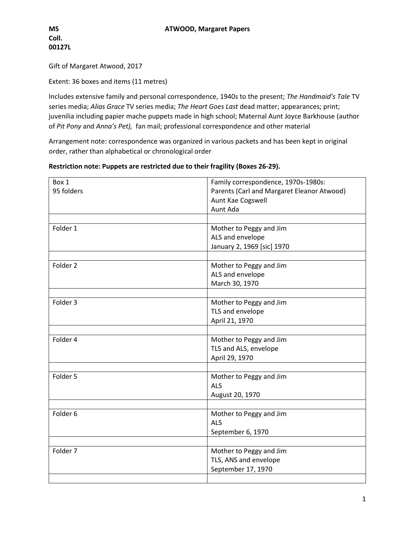Gift of Margaret Atwood, 2017

Extent: 36 boxes and items (11 metres)

Includes extensive family and personal correspondence, 1940s to the present; *The Handmaid's Tale* TV series media; *Alias Grace* TV series media; *The Heart Goes Last* dead matter; appearances; print; juvenilia including papier mache puppets made in high school; Maternal Aunt Joyce Barkhouse (author of *Pit Pony* and *Anna's Pet),* fan mail; professional correspondence and other material

Arrangement note: correspondence was organized in various packets and has been kept in original order, rather than alphabetical or chronological order

| Restriction note: Puppets are restricted due to their fragility (Boxes 26-29). |  |  |  |  |
|--------------------------------------------------------------------------------|--|--|--|--|
|                                                                                |  |  |  |  |

| Box 1               | Family correspondence, 1970s-1980s:        |
|---------------------|--------------------------------------------|
| 95 folders          | Parents (Carl and Margaret Eleanor Atwood) |
|                     | Aunt Kae Cogswell<br>Aunt Ada              |
|                     |                                            |
| Folder 1            |                                            |
|                     | Mother to Peggy and Jim                    |
|                     | ALS and envelope                           |
|                     | January 2, 1969 [sic] 1970                 |
| Folder 2            | Mother to Peggy and Jim                    |
|                     | ALS and envelope                           |
|                     | March 30, 1970                             |
|                     |                                            |
| Folder 3            | Mother to Peggy and Jim                    |
|                     | TLS and envelope                           |
|                     | April 21, 1970                             |
|                     |                                            |
| Folder 4            | Mother to Peggy and Jim                    |
|                     | TLS and ALS, envelope                      |
|                     | April 29, 1970                             |
|                     |                                            |
| Folder 5            | Mother to Peggy and Jim                    |
|                     | <b>ALS</b>                                 |
|                     | August 20, 1970                            |
|                     |                                            |
| Folder 6            | Mother to Peggy and Jim                    |
|                     | <b>ALS</b>                                 |
|                     | September 6, 1970                          |
|                     |                                            |
| Folder <sub>7</sub> | Mother to Peggy and Jim                    |
|                     | TLS, ANS and envelope                      |
|                     | September 17, 1970                         |
|                     |                                            |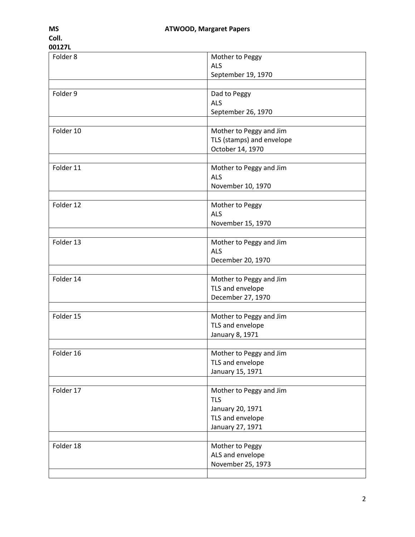| UU12/L    |                           |
|-----------|---------------------------|
| Folder 8  | Mother to Peggy           |
|           | <b>ALS</b>                |
|           | September 19, 1970        |
|           |                           |
| Folder 9  | Dad to Peggy              |
|           | <b>ALS</b>                |
|           | September 26, 1970        |
|           |                           |
| Folder 10 | Mother to Peggy and Jim   |
|           | TLS (stamps) and envelope |
|           | October 14, 1970          |
|           |                           |
| Folder 11 | Mother to Peggy and Jim   |
|           | <b>ALS</b>                |
|           | November 10, 1970         |
|           |                           |
| Folder 12 | Mother to Peggy           |
|           | <b>ALS</b>                |
|           | November 15, 1970         |
|           |                           |
| Folder 13 | Mother to Peggy and Jim   |
|           | <b>ALS</b>                |
|           | December 20, 1970         |
|           |                           |
| Folder 14 | Mother to Peggy and Jim   |
|           | TLS and envelope          |
|           | December 27, 1970         |
|           |                           |
| Folder 15 | Mother to Peggy and Jim   |
|           | TLS and envelope          |
|           | January 8, 1971           |
|           |                           |
| Folder 16 | Mother to Peggy and Jim   |
|           | TLS and envelope          |
|           | January 15, 1971          |
|           |                           |
| Folder 17 | Mother to Peggy and Jim   |
|           | <b>TLS</b>                |
|           | January 20, 1971          |
|           | TLS and envelope          |
|           | January 27, 1971          |
|           |                           |
| Folder 18 | Mother to Peggy           |
|           | ALS and envelope          |
|           | November 25, 1973         |
|           |                           |
|           |                           |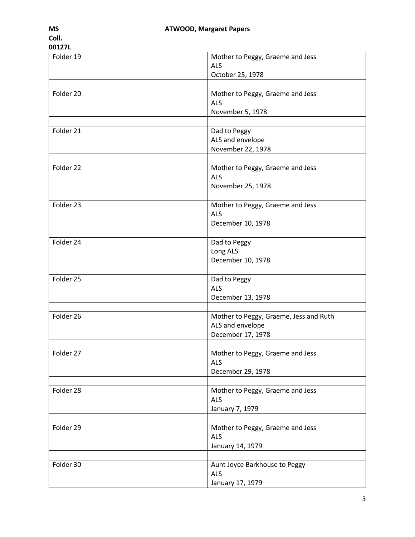## **00127L** Folder 19 Mother to Peggy, Graeme and Jess ALS October 25, 1978 Folder 20 Mother to Peggy, Graeme and Jess ALS November 5, 1978 Folder 21 and to Peggy ALS and envelope November 22, 1978 Folder 22 Mother to Peggy, Graeme and Jess ALS November 25, 1978 Folder 23 Mother to Peggy, Graeme and Jess ALS December 10, 1978 Folder 24 Dad to Peggy Long ALS December 10, 1978 Folder 25 and 10 Dad to Peggy ALS December 13, 1978 Folder 26 Mother to Peggy, Graeme, Jess and Ruth ALS and envelope December 17, 1978 Folder 27 Mother to Peggy, Graeme and Jess ALS December 29, 1978 Folder 28 Mother to Peggy, Graeme and Jess ALS January 7, 1979 Folder 29 Mother to Peggy, Graeme and Jess ALS January 14, 1979 Folder 30 Aunt Joyce Barkhouse to Peggy ALS

January 17, 1979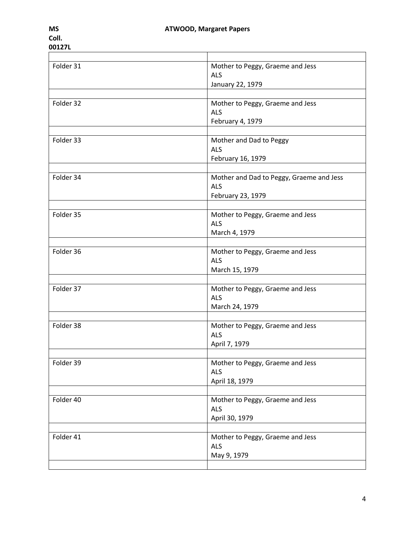| Folder 31 | Mother to Peggy, Graeme and Jess<br><b>ALS</b> |
|-----------|------------------------------------------------|
|           | January 22, 1979                               |
|           |                                                |
| Folder 32 | Mother to Peggy, Graeme and Jess               |
|           | <b>ALS</b>                                     |
|           | February 4, 1979                               |
|           |                                                |
| Folder 33 | Mother and Dad to Peggy                        |
|           | <b>ALS</b>                                     |
|           | February 16, 1979                              |
|           |                                                |
| Folder 34 | Mother and Dad to Peggy, Graeme and Jess       |
|           | <b>ALS</b>                                     |
|           | February 23, 1979                              |
|           |                                                |
| Folder 35 | Mother to Peggy, Graeme and Jess               |
|           | <b>ALS</b>                                     |
|           | March 4, 1979                                  |
| Folder 36 |                                                |
|           | Mother to Peggy, Graeme and Jess<br>ALS        |
|           |                                                |
|           | March 15, 1979                                 |
| Folder 37 | Mother to Peggy, Graeme and Jess               |
|           | ALS                                            |
|           | March 24, 1979                                 |
|           |                                                |
| Folder 38 | Mother to Peggy, Graeme and Jess               |
|           | <b>ALS</b>                                     |
|           | April 7, 1979                                  |
|           |                                                |
| Folder 39 | Mother to Peggy, Graeme and Jess               |
|           | <b>ALS</b>                                     |
|           | April 18, 1979                                 |
|           |                                                |
| Folder 40 | Mother to Peggy, Graeme and Jess               |
|           | <b>ALS</b>                                     |
|           | April 30, 1979                                 |
|           |                                                |
| Folder 41 | Mother to Peggy, Graeme and Jess               |
|           | <b>ALS</b>                                     |
|           | May 9, 1979                                    |
|           |                                                |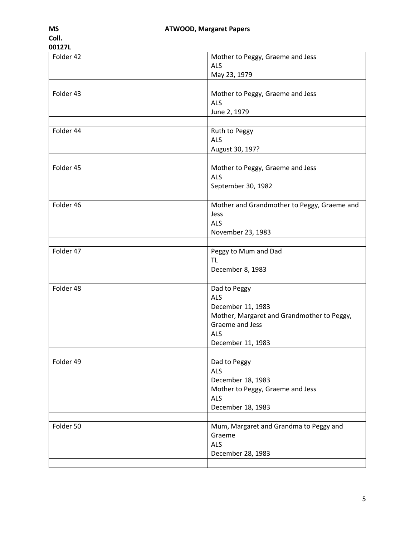| Folder 42 | Mother to Peggy, Graeme and Jess            |
|-----------|---------------------------------------------|
|           | <b>ALS</b>                                  |
|           | May 23, 1979                                |
|           |                                             |
| Folder 43 | Mother to Peggy, Graeme and Jess            |
|           | <b>ALS</b>                                  |
|           | June 2, 1979                                |
|           |                                             |
| Folder 44 | Ruth to Peggy                               |
|           | <b>ALS</b>                                  |
|           | August 30, 197?                             |
|           |                                             |
| Folder 45 | Mother to Peggy, Graeme and Jess            |
|           | <b>ALS</b>                                  |
|           | September 30, 1982                          |
|           |                                             |
| Folder 46 | Mother and Grandmother to Peggy, Graeme and |
|           | Jess                                        |
|           | <b>ALS</b>                                  |
|           |                                             |
|           | November 23, 1983                           |
|           |                                             |
| Folder 47 | Peggy to Mum and Dad                        |
|           | TL                                          |
|           | December 8, 1983                            |
|           |                                             |
| Folder 48 | Dad to Peggy                                |
|           | ALS                                         |
|           | December 11, 1983                           |
|           | Mother, Margaret and Grandmother to Peggy,  |
|           | Graeme and Jess                             |
|           | <b>ALS</b>                                  |
|           | December 11, 1983                           |
|           |                                             |
| Folder 49 | Dad to Peggy                                |
|           | <b>ALS</b>                                  |
|           | December 18, 1983                           |
|           | Mother to Peggy, Graeme and Jess            |
|           | <b>ALS</b>                                  |
|           | December 18, 1983                           |
|           |                                             |
| Folder 50 | Mum, Margaret and Grandma to Peggy and      |
|           | Graeme                                      |
|           | <b>ALS</b>                                  |
|           | December 28, 1983                           |
|           |                                             |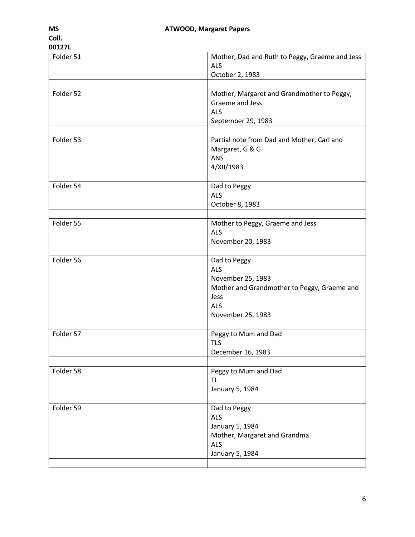| Folder 51 | Mother, Dad and Ruth to Peggy, Graeme and Jess<br><b>ALS</b><br>October 2, 1983                                                           |
|-----------|-------------------------------------------------------------------------------------------------------------------------------------------|
|           |                                                                                                                                           |
| Folder 52 | Mother, Margaret and Grandmother to Peggy,<br>Graeme and Jess<br><b>ALS</b><br>September 29, 1983                                         |
| Folder 53 | Partial note from Dad and Mother, Carl and<br>Margaret, G & G<br>ANS<br>4/XII/1983                                                        |
| Folder 54 | Dad to Peggy<br><b>ALS</b><br>October 8, 1983                                                                                             |
|           |                                                                                                                                           |
| Folder 55 | Mother to Peggy, Graeme and Jess<br><b>ALS</b><br>November 20, 1983                                                                       |
|           |                                                                                                                                           |
| Folder 56 | Dad to Peggy<br><b>ALS</b><br>November 25, 1983<br>Mother and Grandmother to Peggy, Graeme and<br>Jess<br><b>ALS</b><br>November 25, 1983 |
|           |                                                                                                                                           |
| Folder 57 | Peggy to Mum and Dad<br><b>TLS</b><br>December 16, 1983                                                                                   |
|           |                                                                                                                                           |
| Folder 58 | Peggy to Mum and Dad<br><b>TL</b><br>January 5, 1984                                                                                      |
|           |                                                                                                                                           |
| Folder 59 | Dad to Peggy<br><b>ALS</b><br>January 5, 1984<br>Mother, Margaret and Grandma<br><b>ALS</b><br>January 5, 1984                            |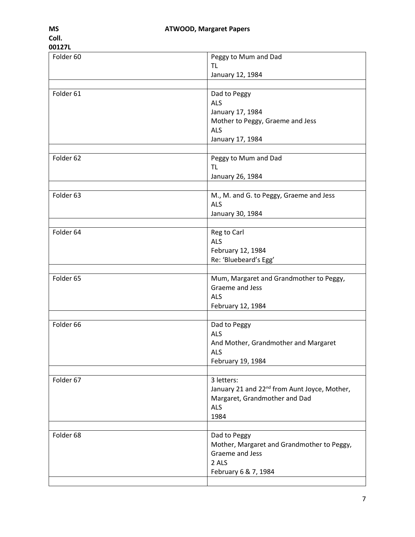| 00127L    |                                                                                                                               |
|-----------|-------------------------------------------------------------------------------------------------------------------------------|
| Folder 60 | Peggy to Mum and Dad<br><b>TL</b><br>January 12, 1984                                                                         |
| Folder 61 | Dad to Peggy<br>ALS<br>January 17, 1984<br>Mother to Peggy, Graeme and Jess<br><b>ALS</b><br>January 17, 1984                 |
| Folder 62 | Peggy to Mum and Dad<br><b>TL</b><br>January 26, 1984                                                                         |
| Folder 63 | M., M. and G. to Peggy, Graeme and Jess<br><b>ALS</b><br>January 30, 1984                                                     |
| Folder 64 | Reg to Carl<br><b>ALS</b><br>February 12, 1984<br>Re: 'Bluebeard's Egg'                                                       |
| Folder 65 | Mum, Margaret and Grandmother to Peggy,<br>Graeme and Jess<br><b>ALS</b><br>February 12, 1984                                 |
| Folder 66 | Dad to Peggy<br><b>ALS</b><br>And Mother, Grandmother and Margaret<br><b>ALS</b><br>February 19, 1984                         |
| Folder 67 | 3 letters:<br>January 21 and 22 <sup>nd</sup> from Aunt Joyce, Mother,<br>Margaret, Grandmother and Dad<br><b>ALS</b><br>1984 |
| Folder 68 | Dad to Peggy<br>Mother, Margaret and Grandmother to Peggy,<br>Graeme and Jess<br>2 ALS<br>February 6 & 7, 1984                |
|           |                                                                                                                               |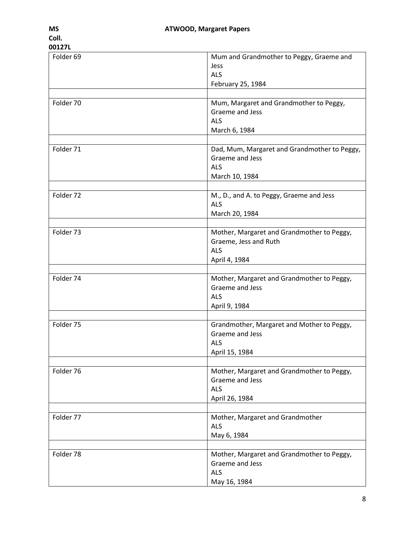| Folder 69 | Mum and Grandmother to Peggy, Graeme and     |
|-----------|----------------------------------------------|
|           | Jess                                         |
|           | <b>ALS</b>                                   |
|           | February 25, 1984                            |
|           |                                              |
| Folder 70 | Mum, Margaret and Grandmother to Peggy,      |
|           | Graeme and Jess                              |
|           | <b>ALS</b>                                   |
|           | March 6, 1984                                |
|           |                                              |
| Folder 71 | Dad, Mum, Margaret and Grandmother to Peggy, |
|           | Graeme and Jess                              |
|           | <b>ALS</b>                                   |
|           | March 10, 1984                               |
|           |                                              |
| Folder 72 | M., D., and A. to Peggy, Graeme and Jess     |
|           | <b>ALS</b>                                   |
|           | March 20, 1984                               |
|           |                                              |
| Folder 73 | Mother, Margaret and Grandmother to Peggy,   |
|           | Graeme, Jess and Ruth                        |
|           | <b>ALS</b>                                   |
|           | April 4, 1984                                |
|           |                                              |
| Folder 74 | Mother, Margaret and Grandmother to Peggy,   |
|           | Graeme and Jess                              |
|           | <b>ALS</b>                                   |
|           | April 9, 1984                                |
|           |                                              |
| Folder 75 | Grandmother, Margaret and Mother to Peggy,   |
|           | Graeme and Jess                              |
|           | <b>ALS</b>                                   |
|           | April 15, 1984                               |
|           |                                              |
| Folder 76 | Mother, Margaret and Grandmother to Peggy,   |
|           | Graeme and Jess                              |
|           | <b>ALS</b>                                   |
|           | April 26, 1984                               |
|           |                                              |
| Folder 77 | Mother, Margaret and Grandmother             |
|           | <b>ALS</b>                                   |
|           | May 6, 1984                                  |
|           |                                              |
| Folder 78 | Mother, Margaret and Grandmother to Peggy,   |
|           | Graeme and Jess                              |
|           | <b>ALS</b>                                   |
|           | May 16, 1984                                 |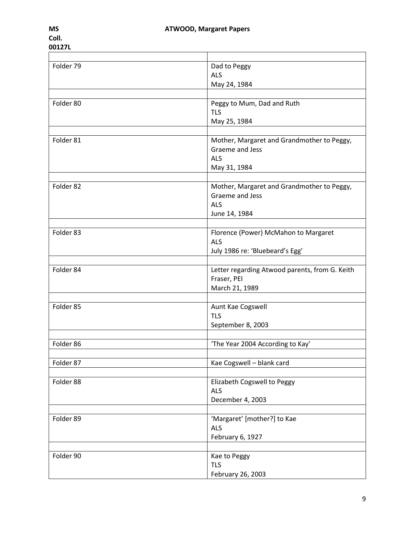| Folder 79 | Dad to Peggy                                   |
|-----------|------------------------------------------------|
|           | ALS                                            |
|           | May 24, 1984                                   |
|           |                                                |
| Folder 80 | Peggy to Mum, Dad and Ruth                     |
|           | <b>TLS</b>                                     |
|           | May 25, 1984                                   |
|           |                                                |
| Folder 81 | Mother, Margaret and Grandmother to Peggy,     |
|           | Graeme and Jess                                |
|           | ALS                                            |
|           | May 31, 1984                                   |
|           |                                                |
| Folder 82 | Mother, Margaret and Grandmother to Peggy,     |
|           | Graeme and Jess                                |
|           | <b>ALS</b>                                     |
|           | June 14, 1984                                  |
|           |                                                |
| Folder 83 | Florence (Power) McMahon to Margaret           |
|           | <b>ALS</b>                                     |
|           | July 1986 re: 'Bluebeard's Egg'                |
|           |                                                |
| Folder 84 | Letter regarding Atwood parents, from G. Keith |
|           | Fraser, PEI                                    |
|           | March 21, 1989                                 |
| Folder 85 | Aunt Kae Cogswell                              |
|           | <b>TLS</b>                                     |
|           | September 8, 2003                              |
|           |                                                |
| Folder 86 | 'The Year 2004 According to Kay'               |
|           |                                                |
| Folder 87 | Kae Cogswell - blank card                      |
|           |                                                |
| Folder 88 | Elizabeth Cogswell to Peggy                    |
|           | <b>ALS</b>                                     |
|           | December 4, 2003                               |
|           |                                                |
| Folder 89 | 'Margaret' [mother?] to Kae                    |
|           | <b>ALS</b>                                     |
|           | February 6, 1927                               |
|           |                                                |
| Folder 90 | Kae to Peggy                                   |
|           | <b>TLS</b>                                     |
|           | February 26, 2003                              |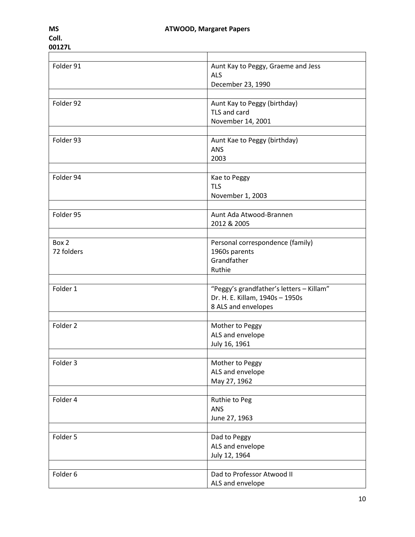| Folder 91  | Aunt Kay to Peggy, Graeme and Jess       |
|------------|------------------------------------------|
|            | ALS                                      |
|            | December 23, 1990                        |
|            |                                          |
| Folder 92  | Aunt Kay to Peggy (birthday)             |
|            | TLS and card                             |
|            | November 14, 2001                        |
|            |                                          |
| Folder 93  | Aunt Kae to Peggy (birthday)             |
|            | <b>ANS</b>                               |
|            | 2003                                     |
|            |                                          |
| Folder 94  | Kae to Peggy                             |
|            | <b>TLS</b>                               |
|            | November 1, 2003                         |
|            |                                          |
| Folder 95  | Aunt Ada Atwood-Brannen                  |
|            | 2012 & 2005                              |
|            |                                          |
| Box 2      | Personal correspondence (family)         |
| 72 folders | 1960s parents                            |
|            | Grandfather                              |
|            | Ruthie                                   |
|            |                                          |
| Folder 1   | "Peggy's grandfather's letters - Killam" |
|            | Dr. H. E. Killam, 1940s - 1950s          |
|            | 8 ALS and envelopes                      |
|            |                                          |
| Folder 2   | Mother to Peggy                          |
|            | ALS and envelope                         |
|            | July 16, 1961                            |
|            |                                          |
| Folder 3   | Mother to Peggy                          |
|            | ALS and envelope                         |
|            | May 27, 1962                             |
|            |                                          |
| Folder 4   | Ruthie to Peg                            |
|            | <b>ANS</b>                               |
|            | June 27, 1963                            |
| Folder 5   | Dad to Peggy                             |
|            |                                          |
|            | ALS and envelope                         |
|            | July 12, 1964                            |
| Folder 6   | Dad to Professor Atwood II               |
|            | ALS and envelope                         |
|            |                                          |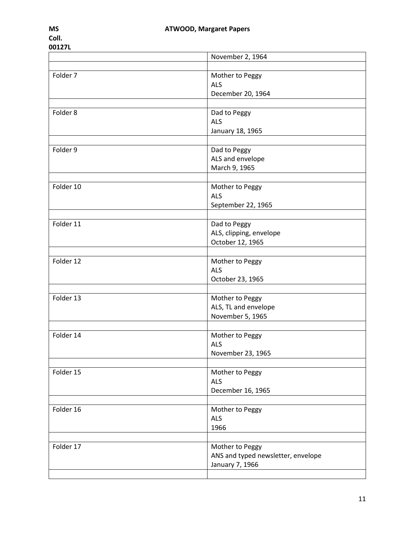|           | November 2, 1964                   |
|-----------|------------------------------------|
|           |                                    |
| Folder 7  | Mother to Peggy                    |
|           | <b>ALS</b>                         |
|           | December 20, 1964                  |
|           |                                    |
| Folder 8  | Dad to Peggy                       |
|           | <b>ALS</b><br>January 18, 1965     |
|           |                                    |
| Folder 9  | Dad to Peggy                       |
|           | ALS and envelope                   |
|           | March 9, 1965                      |
|           |                                    |
| Folder 10 | Mother to Peggy                    |
|           | <b>ALS</b>                         |
|           | September 22, 1965                 |
|           |                                    |
| Folder 11 | Dad to Peggy                       |
|           | ALS, clipping, envelope            |
|           | October 12, 1965                   |
| Folder 12 | Mother to Peggy                    |
|           | <b>ALS</b>                         |
|           | October 23, 1965                   |
|           |                                    |
| Folder 13 | Mother to Peggy                    |
|           | ALS, TL and envelope               |
|           | November 5, 1965                   |
|           |                                    |
| Folder 14 | Mother to Peggy                    |
|           | <b>ALS</b>                         |
|           | November 23, 1965                  |
|           |                                    |
| Folder 15 | Mother to Peggy<br><b>ALS</b>      |
|           | December 16, 1965                  |
|           |                                    |
| Folder 16 | Mother to Peggy                    |
|           | <b>ALS</b>                         |
|           | 1966                               |
|           |                                    |
| Folder 17 | Mother to Peggy                    |
|           | ANS and typed newsletter, envelope |
|           | January 7, 1966                    |
|           |                                    |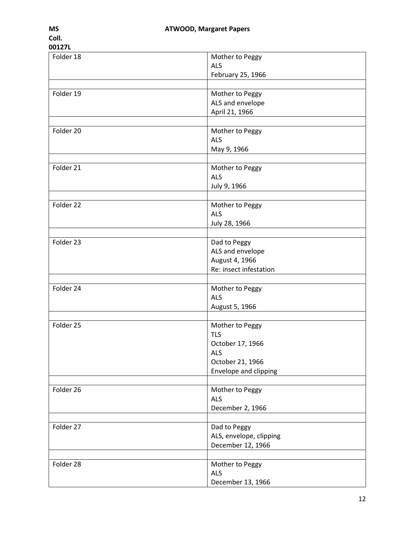| Folder 18 | Mother to Peggy         |
|-----------|-------------------------|
|           |                         |
|           | <b>ALS</b>              |
|           | February 25, 1966       |
|           |                         |
| Folder 19 | Mother to Peggy         |
|           |                         |
|           | ALS and envelope        |
|           | April 21, 1966          |
|           |                         |
| Folder 20 | Mother to Peggy         |
|           | <b>ALS</b>              |
|           |                         |
|           | May 9, 1966             |
|           |                         |
| Folder 21 | Mother to Peggy         |
|           | <b>ALS</b>              |
|           | July 9, 1966            |
|           |                         |
| Folder 22 | Mother to Peggy         |
|           |                         |
|           | <b>ALS</b>              |
|           | July 28, 1966           |
|           |                         |
| Folder 23 | Dad to Peggy            |
|           | ALS and envelope        |
|           |                         |
|           | August 4, 1966          |
|           | Re: insect infestation  |
|           |                         |
| Folder 24 | Mother to Peggy         |
|           | <b>ALS</b>              |
|           |                         |
|           | August 5, 1966          |
|           |                         |
| Folder 25 | Mother to Peggy         |
|           | <b>TLS</b>              |
|           | October 17, 1966        |
|           |                         |
|           | <b>ALS</b>              |
|           | October 21, 1966        |
|           | Envelope and clipping   |
|           |                         |
| Folder 26 | Mother to Peggy         |
|           | <b>ALS</b>              |
|           |                         |
|           | December 2, 1966        |
|           |                         |
| Folder 27 | Dad to Peggy            |
|           | ALS, envelope, clipping |
|           | December 12, 1966       |
|           |                         |
|           |                         |
| Folder 28 | Mother to Peggy         |
|           | <b>ALS</b>              |
|           | December 13, 1966       |
|           |                         |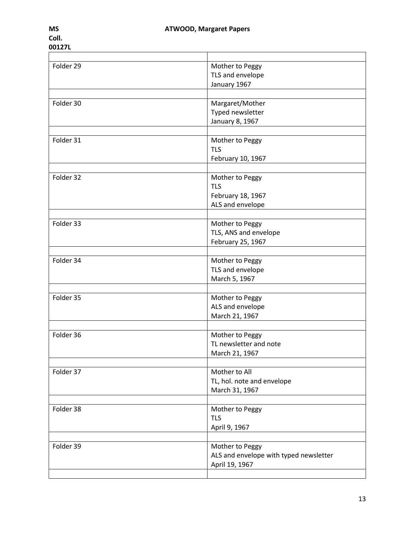| Folder 29 | Mother to Peggy                        |
|-----------|----------------------------------------|
|           | TLS and envelope                       |
|           | January 1967                           |
|           |                                        |
| Folder 30 | Margaret/Mother                        |
|           | Typed newsletter                       |
|           | January 8, 1967                        |
|           |                                        |
| Folder 31 | Mother to Peggy                        |
|           | <b>TLS</b>                             |
|           | February 10, 1967                      |
|           |                                        |
| Folder 32 | Mother to Peggy                        |
|           | <b>TLS</b>                             |
|           | February 18, 1967                      |
|           | ALS and envelope                       |
|           |                                        |
| Folder 33 | Mother to Peggy                        |
|           | TLS, ANS and envelope                  |
|           | February 25, 1967                      |
|           |                                        |
| Folder 34 | Mother to Peggy                        |
|           | TLS and envelope                       |
|           | March 5, 1967                          |
|           |                                        |
| Folder 35 | Mother to Peggy                        |
|           | ALS and envelope                       |
|           | March 21, 1967                         |
|           |                                        |
| Folder 36 | Mother to Peggy                        |
|           | TL newsletter and note                 |
|           | March 21, 1967                         |
|           |                                        |
| Folder 37 | Mother to All                          |
|           | TL, hol. note and envelope             |
|           | March 31, 1967                         |
|           |                                        |
| Folder 38 | Mother to Peggy                        |
|           | <b>TLS</b>                             |
|           | April 9, 1967                          |
|           |                                        |
| Folder 39 | Mother to Peggy                        |
|           | ALS and envelope with typed newsletter |
|           | April 19, 1967                         |
|           |                                        |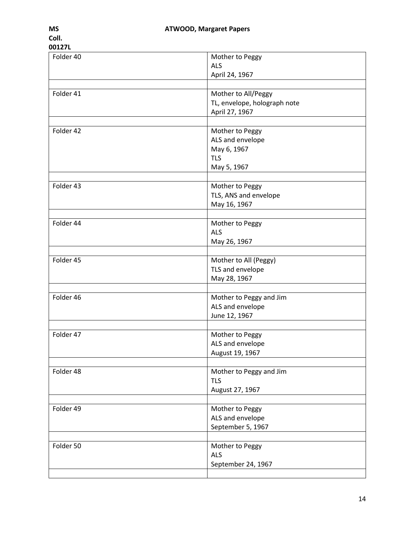| Folder 40 | Mother to Peggy              |
|-----------|------------------------------|
|           | <b>ALS</b>                   |
|           |                              |
|           | April 24, 1967               |
|           |                              |
| Folder 41 | Mother to All/Peggy          |
|           | TL, envelope, holograph note |
|           | April 27, 1967               |
|           |                              |
| Folder 42 | Mother to Peggy              |
|           | ALS and envelope             |
|           | May 6, 1967                  |
|           | <b>TLS</b>                   |
|           | May 5, 1967                  |
|           |                              |
| Folder 43 | Mother to Peggy              |
|           | TLS, ANS and envelope        |
|           |                              |
|           | May 16, 1967                 |
| Folder 44 | Mother to Peggy              |
|           |                              |
|           | <b>ALS</b>                   |
|           | May 26, 1967                 |
|           |                              |
| Folder 45 | Mother to All (Peggy)        |
|           | TLS and envelope             |
|           | May 28, 1967                 |
|           |                              |
| Folder 46 | Mother to Peggy and Jim      |
|           | ALS and envelope             |
|           | June 12, 1967                |
|           |                              |
| Folder 47 | Mother to Peggy              |
|           | ALS and envelope             |
|           | August 19, 1967              |
|           |                              |
| Folder 48 | Mother to Peggy and Jim      |
|           | <b>TLS</b>                   |
|           |                              |
|           | August 27, 1967              |
|           |                              |
| Folder 49 | Mother to Peggy              |
|           | ALS and envelope             |
|           | September 5, 1967            |
|           |                              |
| Folder 50 | Mother to Peggy              |
|           | <b>ALS</b>                   |
|           | September 24, 1967           |
|           |                              |
|           |                              |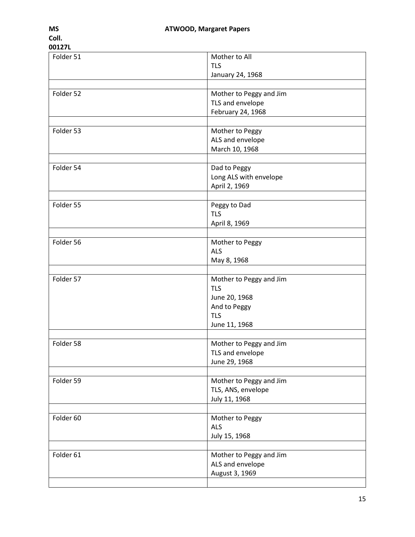| Folder 51 | Mother to All           |
|-----------|-------------------------|
|           | <b>TLS</b>              |
|           | January 24, 1968        |
|           |                         |
| Folder 52 | Mother to Peggy and Jim |
|           | TLS and envelope        |
|           | February 24, 1968       |
|           |                         |
| Folder 53 | Mother to Peggy         |
|           | ALS and envelope        |
|           | March 10, 1968          |
|           |                         |
| Folder 54 | Dad to Peggy            |
|           | Long ALS with envelope  |
|           | April 2, 1969           |
|           |                         |
| Folder 55 | Peggy to Dad            |
|           | <b>TLS</b>              |
|           | April 8, 1969           |
|           |                         |
| Folder 56 | Mother to Peggy         |
|           | <b>ALS</b>              |
|           | May 8, 1968             |
| Folder 57 | Mother to Peggy and Jim |
|           | <b>TLS</b>              |
|           | June 20, 1968           |
|           | And to Peggy            |
|           | <b>TLS</b>              |
|           | June 11, 1968           |
|           |                         |
| Folder 58 | Mother to Peggy and Jim |
|           | TLS and envelope        |
|           | June 29, 1968           |
|           |                         |
| Folder 59 | Mother to Peggy and Jim |
|           | TLS, ANS, envelope      |
|           | July 11, 1968           |
|           |                         |
| Folder 60 | Mother to Peggy         |
|           | <b>ALS</b>              |
|           | July 15, 1968           |
|           |                         |
| Folder 61 | Mother to Peggy and Jim |
|           | ALS and envelope        |
|           | August 3, 1969          |
|           |                         |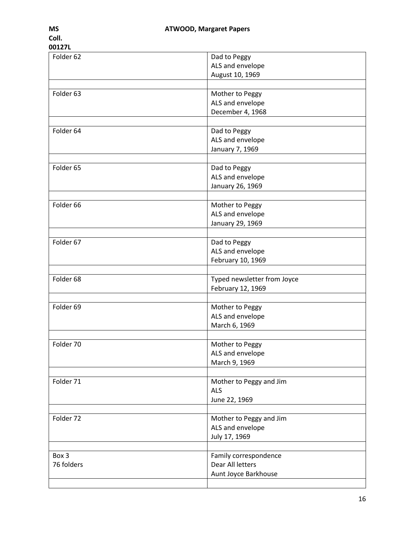| Folder 62            | Dad to Peggy                |
|----------------------|-----------------------------|
|                      | ALS and envelope            |
|                      |                             |
|                      | August 10, 1969             |
|                      |                             |
| Folder 63            | Mother to Peggy             |
|                      |                             |
|                      | ALS and envelope            |
|                      | December 4, 1968            |
|                      |                             |
| Folder 64            | Dad to Peggy                |
|                      | ALS and envelope            |
|                      |                             |
|                      | January 7, 1969             |
|                      |                             |
| Folder 65            | Dad to Peggy                |
|                      | ALS and envelope            |
|                      |                             |
|                      | January 26, 1969            |
|                      |                             |
| Folder <sub>66</sub> | Mother to Peggy             |
|                      | ALS and envelope            |
|                      | January 29, 1969            |
|                      |                             |
|                      |                             |
| Folder 67            | Dad to Peggy                |
|                      | ALS and envelope            |
|                      | February 10, 1969           |
|                      |                             |
| Folder 68            | Typed newsletter from Joyce |
|                      |                             |
|                      | February 12, 1969           |
|                      |                             |
| Folder 69            | Mother to Peggy             |
|                      | ALS and envelope            |
|                      | March 6, 1969               |
|                      |                             |
| Folder 70            |                             |
|                      | Mother to Peggy             |
|                      | ALS and envelope            |
|                      | March 9, 1969               |
|                      |                             |
| Folder 71            | Mother to Peggy and Jim     |
|                      | <b>ALS</b>                  |
|                      |                             |
|                      | June 22, 1969               |
|                      |                             |
| Folder 72            | Mother to Peggy and Jim     |
|                      | ALS and envelope            |
|                      |                             |
|                      | July 17, 1969               |
|                      |                             |
| Box 3                | Family correspondence       |
| 76 folders           | Dear All letters            |
|                      | Aunt Joyce Barkhouse        |
|                      |                             |
|                      |                             |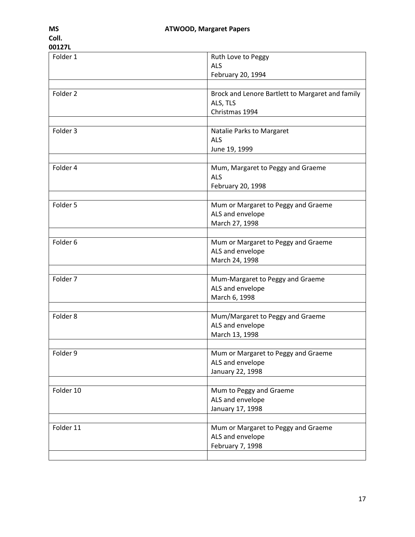| Folder 1            | Ruth Love to Peggy                               |
|---------------------|--------------------------------------------------|
|                     | <b>ALS</b>                                       |
|                     | February 20, 1994                                |
|                     |                                                  |
| Folder <sub>2</sub> | Brock and Lenore Bartlett to Margaret and family |
|                     | ALS, TLS                                         |
|                     | Christmas 1994                                   |
|                     |                                                  |
| Folder 3            | Natalie Parks to Margaret                        |
|                     |                                                  |
|                     | <b>ALS</b>                                       |
|                     | June 19, 1999                                    |
|                     |                                                  |
| Folder 4            | Mum, Margaret to Peggy and Graeme                |
|                     | <b>ALS</b>                                       |
|                     | February 20, 1998                                |
|                     |                                                  |
| Folder 5            | Mum or Margaret to Peggy and Graeme              |
|                     | ALS and envelope                                 |
|                     | March 27, 1998                                   |
|                     |                                                  |
| Folder 6            | Mum or Margaret to Peggy and Graeme              |
|                     | ALS and envelope                                 |
|                     | March 24, 1998                                   |
|                     |                                                  |
| Folder 7            | Mum-Margaret to Peggy and Graeme                 |
|                     | ALS and envelope                                 |
|                     | March 6, 1998                                    |
|                     |                                                  |
| Folder 8            | Mum/Margaret to Peggy and Graeme                 |
|                     |                                                  |
|                     | ALS and envelope                                 |
|                     | March 13, 1998                                   |
|                     |                                                  |
| Folder 9            | Mum or Margaret to Peggy and Graeme              |
|                     | ALS and envelope                                 |
|                     | January 22, 1998                                 |
|                     |                                                  |
| Folder 10           | Mum to Peggy and Graeme                          |
|                     | ALS and envelope                                 |
|                     | January 17, 1998                                 |
|                     |                                                  |
| Folder 11           | Mum or Margaret to Peggy and Graeme              |
|                     | ALS and envelope                                 |
|                     | February 7, 1998                                 |
|                     |                                                  |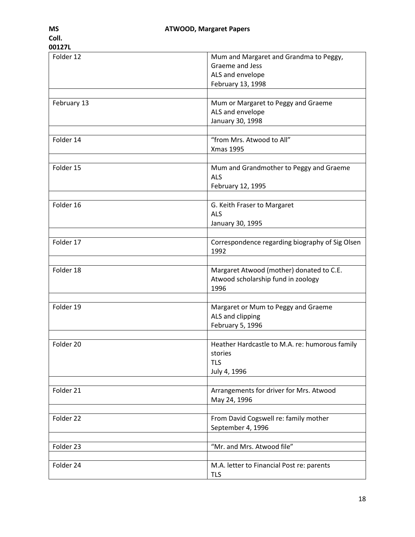| Folder 12   | Mum and Margaret and Grandma to Peggy,<br>Graeme and Jess<br>ALS and envelope<br>February 13, 1998 |
|-------------|----------------------------------------------------------------------------------------------------|
|             |                                                                                                    |
| February 13 | Mum or Margaret to Peggy and Graeme<br>ALS and envelope<br>January 30, 1998                        |
| Folder 14   | "from Mrs. Atwood to All"<br><b>Xmas 1995</b>                                                      |
| Folder 15   | Mum and Grandmother to Peggy and Graeme<br><b>ALS</b><br>February 12, 1995                         |
| Folder 16   | G. Keith Fraser to Margaret<br><b>ALS</b><br>January 30, 1995                                      |
| Folder 17   | Correspondence regarding biography of Sig Olsen<br>1992                                            |
| Folder 18   | Margaret Atwood (mother) donated to C.E.<br>Atwood scholarship fund in zoology<br>1996             |
| Folder 19   | Margaret or Mum to Peggy and Graeme<br>ALS and clipping<br>February 5, 1996                        |
| Folder 20   | Heather Hardcastle to M.A. re: humorous family<br>stories<br><b>TLS</b><br>July 4, 1996            |
| Folder 21   | Arrangements for driver for Mrs. Atwood<br>May 24, 1996                                            |
| Folder 22   | From David Cogswell re: family mother<br>September 4, 1996                                         |
| Folder 23   | "Mr. and Mrs. Atwood file"                                                                         |
| Folder 24   | M.A. letter to Financial Post re: parents<br><b>TLS</b>                                            |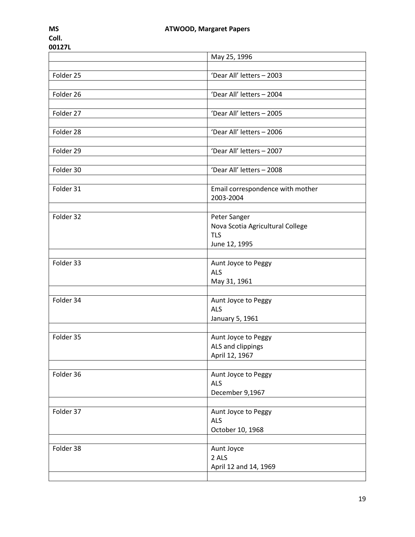|           | May 25, 1996                                     |
|-----------|--------------------------------------------------|
|           |                                                  |
| Folder 25 | 'Dear All' letters - 2003                        |
|           |                                                  |
| Folder 26 | 'Dear All' letters - 2004                        |
|           |                                                  |
| Folder 27 | 'Dear All' letters - 2005                        |
| Folder 28 | 'Dear All' letters - 2006                        |
|           |                                                  |
| Folder 29 | 'Dear All' letters - 2007                        |
|           |                                                  |
| Folder 30 | 'Dear All' letters - 2008                        |
|           |                                                  |
| Folder 31 | Email correspondence with mother                 |
|           | 2003-2004                                        |
| Folder 32 |                                                  |
|           | Peter Sanger<br>Nova Scotia Agricultural College |
|           | <b>TLS</b>                                       |
|           | June 12, 1995                                    |
|           |                                                  |
| Folder 33 | Aunt Joyce to Peggy                              |
|           | <b>ALS</b>                                       |
|           | May 31, 1961                                     |
|           |                                                  |
| Folder 34 | Aunt Joyce to Peggy                              |
|           | <b>ALS</b>                                       |
|           | January 5, 1961                                  |
| Folder 35 |                                                  |
|           | Aunt Joyce to Peggy<br>ALS and clippings         |
|           | April 12, 1967                                   |
|           |                                                  |
| Folder 36 | Aunt Joyce to Peggy                              |
|           | <b>ALS</b>                                       |
|           | December 9,1967                                  |
|           |                                                  |
| Folder 37 | Aunt Joyce to Peggy                              |
|           | <b>ALS</b>                                       |
|           | October 10, 1968                                 |
| Folder 38 | Aunt Joyce                                       |
|           | 2 ALS                                            |
|           | April 12 and 14, 1969                            |
|           |                                                  |
|           |                                                  |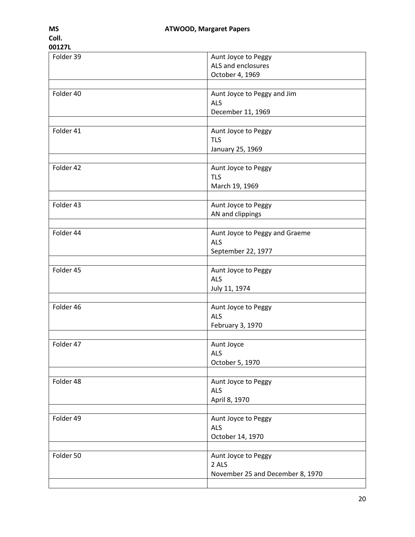| Folder 39 | Aunt Joyce to Peggy              |
|-----------|----------------------------------|
|           | ALS and enclosures               |
|           |                                  |
|           | October 4, 1969                  |
|           |                                  |
| Folder 40 | Aunt Joyce to Peggy and Jim      |
|           |                                  |
|           | <b>ALS</b>                       |
|           | December 11, 1969                |
|           |                                  |
| Folder 41 | Aunt Joyce to Peggy              |
|           |                                  |
|           | <b>TLS</b>                       |
|           | January 25, 1969                 |
|           |                                  |
| Folder 42 | Aunt Joyce to Peggy              |
|           |                                  |
|           | <b>TLS</b>                       |
|           | March 19, 1969                   |
|           |                                  |
| Folder 43 | Aunt Joyce to Peggy              |
|           |                                  |
|           | AN and clippings                 |
|           |                                  |
| Folder 44 | Aunt Joyce to Peggy and Graeme   |
|           | <b>ALS</b>                       |
|           |                                  |
|           | September 22, 1977               |
|           |                                  |
| Folder 45 | Aunt Joyce to Peggy              |
|           | <b>ALS</b>                       |
|           |                                  |
|           | July 11, 1974                    |
|           |                                  |
| Folder 46 | Aunt Joyce to Peggy              |
|           | <b>ALS</b>                       |
|           | February 3, 1970                 |
|           |                                  |
|           |                                  |
| Folder 47 | Aunt Joyce                       |
|           | <b>ALS</b>                       |
|           | October 5, 1970                  |
|           |                                  |
|           |                                  |
| Folder 48 | Aunt Joyce to Peggy              |
|           | <b>ALS</b>                       |
|           | April 8, 1970                    |
|           |                                  |
|           |                                  |
| Folder 49 | Aunt Joyce to Peggy              |
|           | <b>ALS</b>                       |
|           | October 14, 1970                 |
|           |                                  |
|           |                                  |
| Folder 50 | Aunt Joyce to Peggy              |
|           | 2 ALS                            |
|           | November 25 and December 8, 1970 |
|           |                                  |
|           |                                  |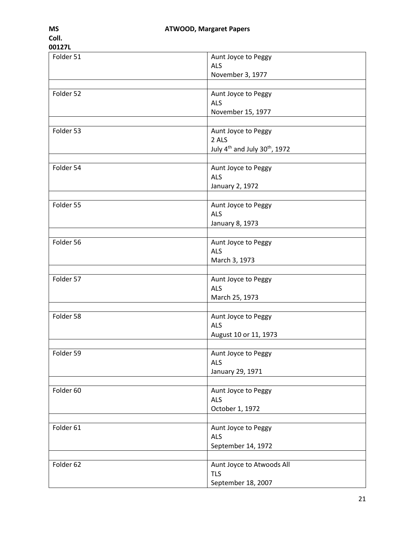| 0016/L    |                                                       |
|-----------|-------------------------------------------------------|
| Folder 51 | Aunt Joyce to Peggy                                   |
|           | <b>ALS</b>                                            |
|           | November 3, 1977                                      |
|           |                                                       |
| Folder 52 | Aunt Joyce to Peggy                                   |
|           | <b>ALS</b>                                            |
|           | November 15, 1977                                     |
|           |                                                       |
| Folder 53 | Aunt Joyce to Peggy                                   |
|           | 2 ALS                                                 |
|           | July 4 <sup>th</sup> and July 30 <sup>th</sup> , 1972 |
|           |                                                       |
| Folder 54 | Aunt Joyce to Peggy                                   |
|           | <b>ALS</b>                                            |
|           | January 2, 1972                                       |
| Folder 55 | Aunt Joyce to Peggy                                   |
|           | <b>ALS</b>                                            |
|           | January 8, 1973                                       |
|           |                                                       |
| Folder 56 | Aunt Joyce to Peggy                                   |
|           | <b>ALS</b>                                            |
|           | March 3, 1973                                         |
|           |                                                       |
| Folder 57 | Aunt Joyce to Peggy                                   |
|           | <b>ALS</b>                                            |
|           | March 25, 1973                                        |
|           |                                                       |
| Folder 58 | Aunt Joyce to Peggy                                   |
|           | <b>ALS</b>                                            |
|           | August 10 or 11, 1973                                 |
|           |                                                       |
| Folder 59 | Aunt Joyce to Peggy                                   |
|           | <b>ALS</b>                                            |
|           | January 29, 1971                                      |
|           |                                                       |
| Folder 60 | Aunt Joyce to Peggy                                   |
|           | <b>ALS</b>                                            |
|           | October 1, 1972                                       |
|           |                                                       |
| Folder 61 | Aunt Joyce to Peggy                                   |
|           | <b>ALS</b>                                            |
|           | September 14, 1972                                    |
|           |                                                       |
| Folder 62 | Aunt Joyce to Atwoods All                             |
|           | <b>TLS</b>                                            |
|           | September 18, 2007                                    |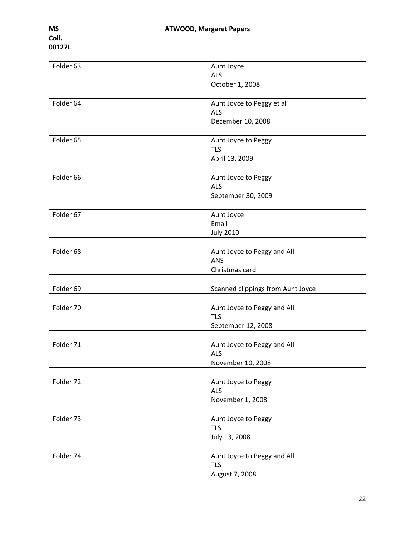| Folder 63 | Aunt Joyce                        |
|-----------|-----------------------------------|
|           | <b>ALS</b>                        |
|           | October 1, 2008                   |
|           |                                   |
| Folder 64 | Aunt Joyce to Peggy et al         |
|           | ALS                               |
|           | December 10, 2008                 |
|           |                                   |
| Folder 65 | Aunt Joyce to Peggy               |
|           | <b>TLS</b>                        |
|           | April 13, 2009                    |
|           |                                   |
| Folder 66 | Aunt Joyce to Peggy               |
|           | <b>ALS</b>                        |
|           | September 30, 2009                |
|           |                                   |
| Folder 67 | Aunt Joyce                        |
|           | Email                             |
|           | <b>July 2010</b>                  |
|           |                                   |
| Folder 68 | Aunt Joyce to Peggy and All       |
|           | <b>ANS</b>                        |
|           | Christmas card                    |
|           |                                   |
| Folder 69 | Scanned clippings from Aunt Joyce |
|           |                                   |
| Folder 70 | Aunt Joyce to Peggy and All       |
|           | <b>TLS</b>                        |
|           | September 12, 2008                |
|           |                                   |
| Folder 71 | Aunt Joyce to Peggy and All       |
|           | <b>ALS</b>                        |
|           | November 10, 2008                 |
|           |                                   |
| Folder 72 | Aunt Joyce to Peggy               |
|           | <b>ALS</b>                        |
|           | November 1, 2008                  |
|           |                                   |
| Folder 73 | Aunt Joyce to Peggy               |
|           | <b>TLS</b>                        |
|           | July 13, 2008                     |
|           |                                   |
| Folder 74 | Aunt Joyce to Peggy and All       |
|           | <b>TLS</b>                        |
|           | August 7, 2008                    |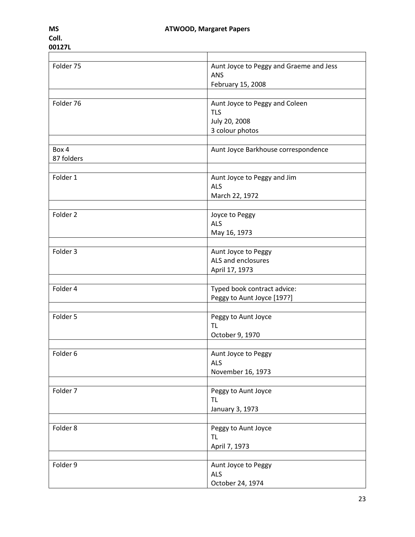| Folder 75           | Aunt Joyce to Peggy and Graeme and Jess |
|---------------------|-----------------------------------------|
|                     | <b>ANS</b>                              |
|                     | February 15, 2008                       |
|                     |                                         |
| Folder 76           | Aunt Joyce to Peggy and Coleen          |
|                     | <b>TLS</b>                              |
|                     | July 20, 2008                           |
|                     | 3 colour photos                         |
|                     |                                         |
| Box 4               | Aunt Joyce Barkhouse correspondence     |
| 87 folders          |                                         |
|                     |                                         |
| Folder 1            | Aunt Joyce to Peggy and Jim             |
|                     | <b>ALS</b>                              |
|                     | March 22, 1972                          |
|                     |                                         |
| Folder 2            | Joyce to Peggy                          |
|                     | <b>ALS</b>                              |
|                     |                                         |
|                     | May 16, 1973                            |
|                     |                                         |
| Folder 3            | Aunt Joyce to Peggy                     |
|                     | ALS and enclosures                      |
|                     | April 17, 1973                          |
|                     |                                         |
| Folder 4            | Typed book contract advice:             |
|                     | Peggy to Aunt Joyce [197?]              |
|                     |                                         |
| Folder 5            | Peggy to Aunt Joyce                     |
|                     | <b>TL</b>                               |
|                     | October 9, 1970                         |
|                     |                                         |
| Folder <sub>6</sub> | Aunt Joyce to Peggy                     |
|                     | <b>ALS</b>                              |
|                     | November 16, 1973                       |
|                     |                                         |
| Folder 7            | Peggy to Aunt Joyce                     |
|                     | TL                                      |
|                     | January 3, 1973                         |
|                     |                                         |
| Folder 8            | Peggy to Aunt Joyce                     |
|                     | TL                                      |
|                     | April 7, 1973                           |
|                     |                                         |
| Folder 9            | Aunt Joyce to Peggy                     |
|                     | <b>ALS</b>                              |
|                     | October 24, 1974                        |
|                     |                                         |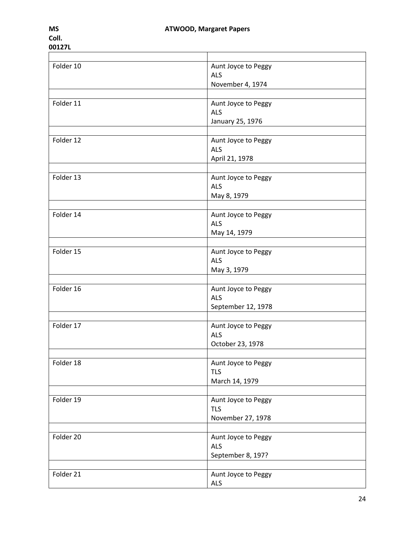| Folder 10 | Aunt Joyce to Peggy               |
|-----------|-----------------------------------|
|           | <b>ALS</b>                        |
|           | November 4, 1974                  |
| Folder 11 |                                   |
|           | Aunt Joyce to Peggy               |
|           | <b>ALS</b>                        |
|           | January 25, 1976                  |
| Folder 12 |                                   |
|           | Aunt Joyce to Peggy<br><b>ALS</b> |
|           |                                   |
|           | April 21, 1978                    |
| Folder 13 | Aunt Joyce to Peggy               |
|           | <b>ALS</b>                        |
|           |                                   |
|           | May 8, 1979                       |
| Folder 14 | Aunt Joyce to Peggy               |
|           | <b>ALS</b>                        |
|           | May 14, 1979                      |
|           |                                   |
| Folder 15 | Aunt Joyce to Peggy               |
|           | <b>ALS</b>                        |
|           | May 3, 1979                       |
|           |                                   |
| Folder 16 | Aunt Joyce to Peggy               |
|           | <b>ALS</b>                        |
|           | September 12, 1978                |
|           |                                   |
| Folder 17 | Aunt Joyce to Peggy               |
|           | <b>ALS</b>                        |
|           | October 23, 1978                  |
|           |                                   |
| Folder 18 | Aunt Joyce to Peggy               |
|           | <b>TLS</b>                        |
|           | March 14, 1979                    |
|           |                                   |
| Folder 19 | Aunt Joyce to Peggy               |
|           | <b>TLS</b>                        |
|           | November 27, 1978                 |
|           |                                   |
| Folder 20 | Aunt Joyce to Peggy               |
|           | <b>ALS</b>                        |
|           | September 8, 197?                 |
|           |                                   |
| Folder 21 | Aunt Joyce to Peggy               |
|           | <b>ALS</b>                        |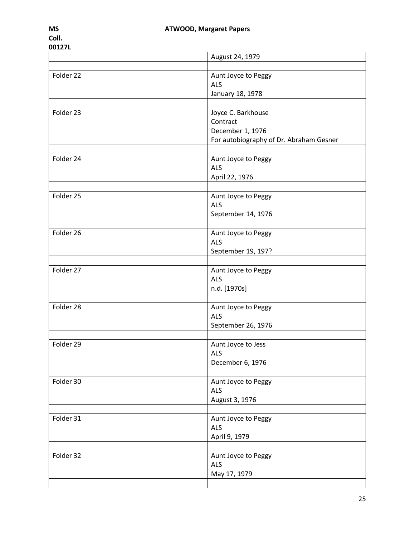|           | August 24, 1979                         |
|-----------|-----------------------------------------|
|           |                                         |
| Folder 22 | Aunt Joyce to Peggy                     |
|           | <b>ALS</b>                              |
|           | January 18, 1978                        |
|           |                                         |
| Folder 23 | Joyce C. Barkhouse                      |
|           | Contract                                |
|           | December 1, 1976                        |
|           | For autobiography of Dr. Abraham Gesner |
|           |                                         |
| Folder 24 | Aunt Joyce to Peggy                     |
|           | <b>ALS</b>                              |
|           | April 22, 1976                          |
| Folder 25 |                                         |
|           | Aunt Joyce to Peggy<br><b>ALS</b>       |
|           | September 14, 1976                      |
|           |                                         |
| Folder 26 | Aunt Joyce to Peggy                     |
|           | <b>ALS</b>                              |
|           | September 19, 197?                      |
|           |                                         |
| Folder 27 | Aunt Joyce to Peggy                     |
|           | <b>ALS</b>                              |
|           | n.d. [1970s]                            |
|           |                                         |
| Folder 28 | Aunt Joyce to Peggy                     |
|           | <b>ALS</b>                              |
|           | September 26, 1976                      |
|           |                                         |
| Folder 29 | Aunt Joyce to Jess                      |
|           | ALS                                     |
|           | December 6, 1976                        |
|           |                                         |
| Folder 30 | Aunt Joyce to Peggy                     |
|           | <b>ALS</b>                              |
|           | August 3, 1976                          |
|           |                                         |
| Folder 31 | Aunt Joyce to Peggy                     |
|           | <b>ALS</b>                              |
|           | April 9, 1979                           |
|           |                                         |
| Folder 32 | Aunt Joyce to Peggy<br><b>ALS</b>       |
|           |                                         |
|           | May 17, 1979                            |
|           |                                         |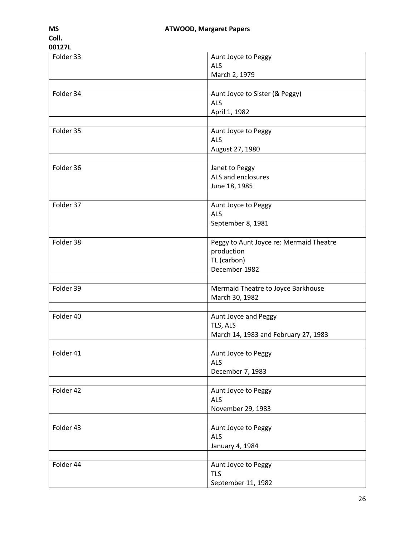| Folder 33 | Aunt Joyce to Peggy                     |
|-----------|-----------------------------------------|
|           | <b>ALS</b>                              |
|           | March 2, 1979                           |
|           |                                         |
| Folder 34 | Aunt Joyce to Sister (& Peggy)          |
|           | <b>ALS</b>                              |
|           | April 1, 1982                           |
|           |                                         |
| Folder 35 | Aunt Joyce to Peggy                     |
|           | <b>ALS</b>                              |
|           | August 27, 1980                         |
|           |                                         |
| Folder 36 | Janet to Peggy                          |
|           | ALS and enclosures                      |
|           | June 18, 1985                           |
|           |                                         |
| Folder 37 | Aunt Joyce to Peggy                     |
|           | <b>ALS</b>                              |
|           | September 8, 1981                       |
|           |                                         |
| Folder 38 | Peggy to Aunt Joyce re: Mermaid Theatre |
|           | production                              |
|           | TL (carbon)                             |
|           | December 1982                           |
|           |                                         |
| Folder 39 | Mermaid Theatre to Joyce Barkhouse      |
|           | March 30, 1982                          |
|           |                                         |
| Folder 40 | Aunt Joyce and Peggy                    |
|           | TLS, ALS                                |
|           | March 14, 1983 and February 27, 1983    |
|           |                                         |
| Folder 41 | Aunt Joyce to Peggy                     |
|           | <b>ALS</b>                              |
|           | December 7, 1983                        |
| Folder 42 | Aunt Joyce to Peggy                     |
|           | <b>ALS</b>                              |
|           | November 29, 1983                       |
|           |                                         |
| Folder 43 | Aunt Joyce to Peggy                     |
|           | <b>ALS</b>                              |
|           | January 4, 1984                         |
|           |                                         |
| Folder 44 | Aunt Joyce to Peggy                     |
|           | <b>TLS</b>                              |
|           | September 11, 1982                      |
|           |                                         |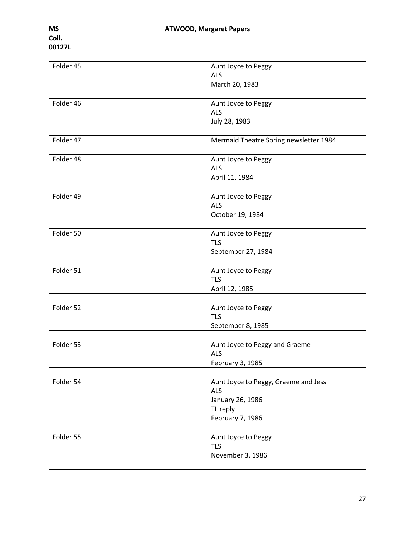| Folder 45 | Aunt Joyce to Peggy                    |
|-----------|----------------------------------------|
|           | <b>ALS</b>                             |
|           | March 20, 1983                         |
|           |                                        |
| Folder 46 | Aunt Joyce to Peggy                    |
|           | <b>ALS</b>                             |
|           | July 28, 1983                          |
|           |                                        |
| Folder 47 | Mermaid Theatre Spring newsletter 1984 |
|           |                                        |
| Folder 48 | Aunt Joyce to Peggy                    |
|           | <b>ALS</b>                             |
|           | April 11, 1984                         |
|           |                                        |
| Folder 49 | Aunt Joyce to Peggy                    |
|           | <b>ALS</b>                             |
|           | October 19, 1984                       |
|           |                                        |
| Folder 50 | Aunt Joyce to Peggy                    |
|           | <b>TLS</b>                             |
|           | September 27, 1984                     |
|           |                                        |
| Folder 51 | Aunt Joyce to Peggy                    |
|           | <b>TLS</b>                             |
|           | April 12, 1985                         |
|           |                                        |
| Folder 52 | Aunt Joyce to Peggy                    |
|           | <b>TLS</b>                             |
|           | September 8, 1985                      |
|           |                                        |
| Folder 53 | Aunt Joyce to Peggy and Graeme         |
|           | ALS                                    |
|           | February 3, 1985                       |
|           |                                        |
| Folder 54 | Aunt Joyce to Peggy, Graeme and Jess   |
|           | <b>ALS</b>                             |
|           | January 26, 1986                       |
|           | TL reply                               |
|           | February 7, 1986                       |
|           |                                        |
| Folder 55 | Aunt Joyce to Peggy                    |
|           | <b>TLS</b>                             |
|           | November 3, 1986                       |
|           |                                        |
|           |                                        |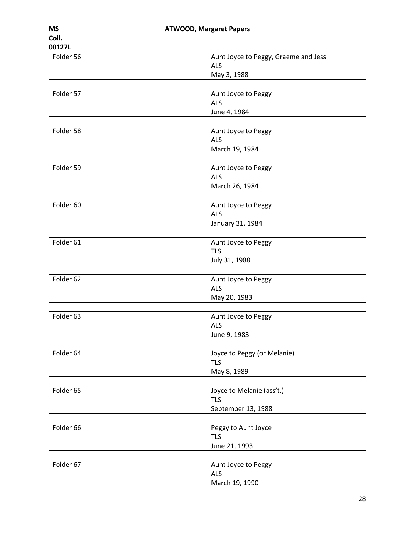| Folder 56 | Aunt Joyce to Peggy, Graeme and Jess<br><b>ALS</b>            |
|-----------|---------------------------------------------------------------|
|           | May 3, 1988                                                   |
| Folder 57 | Aunt Joyce to Peggy<br><b>ALS</b><br>June 4, 1984             |
| Folder 58 | Aunt Joyce to Peggy<br><b>ALS</b><br>March 19, 1984           |
| Folder 59 | Aunt Joyce to Peggy<br><b>ALS</b><br>March 26, 1984           |
| Folder 60 | Aunt Joyce to Peggy<br><b>ALS</b><br>January 31, 1984         |
| Folder 61 | Aunt Joyce to Peggy<br><b>TLS</b><br>July 31, 1988            |
| Folder 62 | Aunt Joyce to Peggy<br><b>ALS</b><br>May 20, 1983             |
| Folder 63 | Aunt Joyce to Peggy<br><b>ALS</b><br>June 9, 1983             |
| Folder 64 | Joyce to Peggy (or Melanie)<br><b>TLS</b><br>May 8, 1989      |
| Folder 65 | Joyce to Melanie (ass't.)<br><b>TLS</b><br>September 13, 1988 |
| Folder 66 | Peggy to Aunt Joyce<br><b>TLS</b><br>June 21, 1993            |
| Folder 67 | Aunt Joyce to Peggy<br><b>ALS</b><br>March 19, 1990           |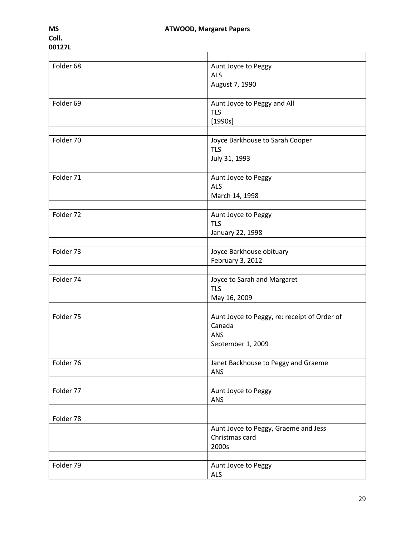| Folder <sub>68</sub> | Aunt Joyce to Peggy                          |
|----------------------|----------------------------------------------|
|                      | <b>ALS</b>                                   |
|                      | August 7, 1990                               |
|                      |                                              |
| Folder 69            | Aunt Joyce to Peggy and All                  |
|                      | <b>TLS</b>                                   |
|                      | [1990s]                                      |
|                      |                                              |
| Folder 70            | Joyce Barkhouse to Sarah Cooper              |
|                      |                                              |
|                      | <b>TLS</b>                                   |
|                      | July 31, 1993                                |
|                      |                                              |
| Folder 71            | Aunt Joyce to Peggy                          |
|                      | <b>ALS</b>                                   |
|                      | March 14, 1998                               |
|                      |                                              |
| Folder 72            | Aunt Joyce to Peggy                          |
|                      | <b>TLS</b>                                   |
|                      | January 22, 1998                             |
|                      |                                              |
| Folder 73            | Joyce Barkhouse obituary                     |
|                      | February 3, 2012                             |
|                      |                                              |
| Folder 74            | Joyce to Sarah and Margaret                  |
|                      | <b>TLS</b>                                   |
|                      |                                              |
|                      | May 16, 2009                                 |
|                      |                                              |
| Folder 75            | Aunt Joyce to Peggy, re: receipt of Order of |
|                      | Canada                                       |
|                      | ANS                                          |
|                      | September 1, 2009                            |
|                      |                                              |
| Folder 76            | Janet Backhouse to Peggy and Graeme          |
|                      | ANS                                          |
|                      |                                              |
| Folder 77            | Aunt Joyce to Peggy                          |
|                      | ANS                                          |
|                      |                                              |
| Folder 78            |                                              |
|                      | Aunt Joyce to Peggy, Graeme and Jess         |
|                      | Christmas card                               |
|                      | 2000s                                        |
|                      |                                              |
| Folder 79            |                                              |
|                      | Aunt Joyce to Peggy                          |
|                      | ALS                                          |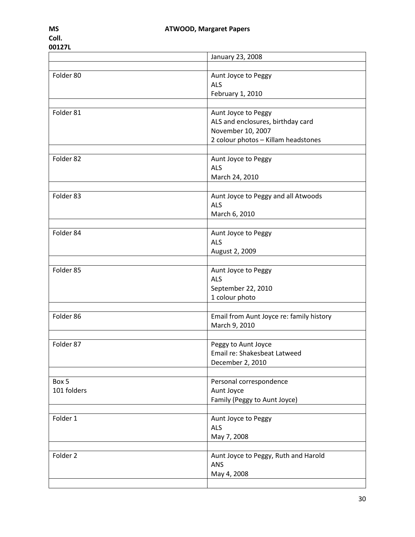|                      | January 23, 2008                                                                                               |
|----------------------|----------------------------------------------------------------------------------------------------------------|
|                      |                                                                                                                |
| Folder 80            | Aunt Joyce to Peggy<br><b>ALS</b>                                                                              |
|                      | February 1, 2010                                                                                               |
|                      |                                                                                                                |
| Folder 81            | Aunt Joyce to Peggy                                                                                            |
|                      | ALS and enclosures, birthday card                                                                              |
|                      | November 10, 2007                                                                                              |
|                      | 2 colour photos - Killam headstones                                                                            |
|                      |                                                                                                                |
| Folder 82            | Aunt Joyce to Peggy                                                                                            |
|                      | <b>ALS</b>                                                                                                     |
|                      | March 24, 2010                                                                                                 |
| Folder 83            | Aunt Joyce to Peggy and all Atwoods                                                                            |
|                      | <b>ALS</b>                                                                                                     |
|                      | March 6, 2010                                                                                                  |
|                      |                                                                                                                |
| Folder 84            | Aunt Joyce to Peggy                                                                                            |
|                      | <b>ALS</b>                                                                                                     |
|                      | August 2, 2009                                                                                                 |
|                      |                                                                                                                |
| Folder 85            | Aunt Joyce to Peggy                                                                                            |
|                      | <b>ALS</b>                                                                                                     |
|                      | September 22, 2010                                                                                             |
|                      | 1 colour photo                                                                                                 |
| Folder 86            | Email from Aunt Joyce re: family history                                                                       |
|                      | March 9, 2010                                                                                                  |
|                      |                                                                                                                |
| Folder 87            | Peggy to Aunt Joyce                                                                                            |
|                      | Email re: Shakesbeat Latweed                                                                                   |
|                      | December 2, 2010                                                                                               |
|                      |                                                                                                                |
| Box 5                | Personal correspondence                                                                                        |
| 101 folders          | Aunt Joyce                                                                                                     |
|                      | Family (Peggy to Aunt Joyce)                                                                                   |
|                      |                                                                                                                |
|                      |                                                                                                                |
|                      |                                                                                                                |
|                      |                                                                                                                |
|                      |                                                                                                                |
|                      |                                                                                                                |
|                      |                                                                                                                |
|                      |                                                                                                                |
| Folder 1<br>Folder 2 | Aunt Joyce to Peggy<br><b>ALS</b><br>May 7, 2008<br>Aunt Joyce to Peggy, Ruth and Harold<br>ANS<br>May 4, 2008 |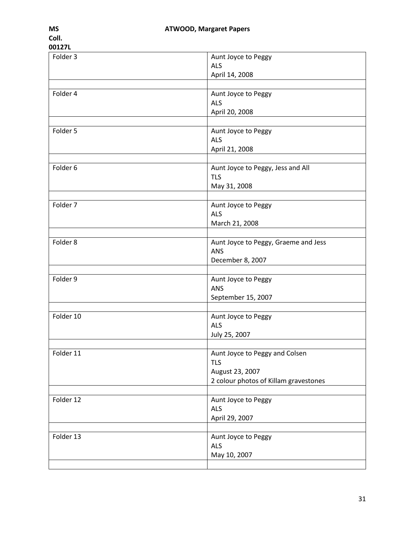| Folder 3  | Aunt Joyce to Peggy                         |
|-----------|---------------------------------------------|
|           | <b>ALS</b>                                  |
|           | April 14, 2008                              |
|           |                                             |
| Folder 4  | Aunt Joyce to Peggy                         |
|           | <b>ALS</b>                                  |
|           | April 20, 2008                              |
|           |                                             |
| Folder 5  | Aunt Joyce to Peggy                         |
|           | <b>ALS</b>                                  |
|           | April 21, 2008                              |
|           |                                             |
| Folder 6  | Aunt Joyce to Peggy, Jess and All           |
|           | <b>TLS</b>                                  |
|           | May 31, 2008                                |
|           |                                             |
| Folder 7  | Aunt Joyce to Peggy                         |
|           | <b>ALS</b><br>March 21, 2008                |
|           |                                             |
| Folder 8  |                                             |
|           | Aunt Joyce to Peggy, Graeme and Jess<br>ANS |
|           | December 8, 2007                            |
|           |                                             |
| Folder 9  | Aunt Joyce to Peggy                         |
|           | <b>ANS</b>                                  |
|           | September 15, 2007                          |
|           |                                             |
| Folder 10 | Aunt Joyce to Peggy                         |
|           | <b>ALS</b>                                  |
|           | July 25, 2007                               |
|           |                                             |
| Folder 11 | Aunt Joyce to Peggy and Colsen              |
|           | <b>TLS</b>                                  |
|           | August 23, 2007                             |
|           | 2 colour photos of Killam gravestones       |
|           |                                             |
| Folder 12 | Aunt Joyce to Peggy                         |
|           | <b>ALS</b>                                  |
|           | April 29, 2007                              |
|           |                                             |
| Folder 13 | Aunt Joyce to Peggy                         |
|           | <b>ALS</b>                                  |
|           | May 10, 2007                                |
|           |                                             |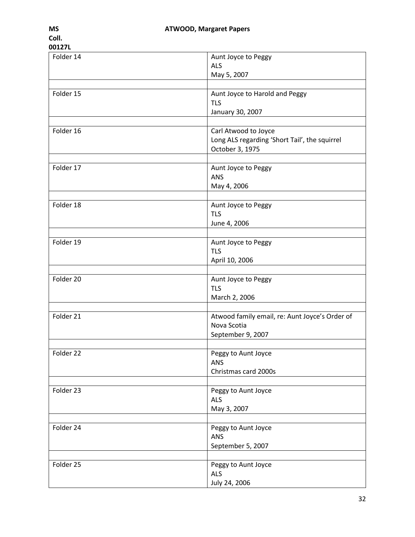| UU1616    |                                                |
|-----------|------------------------------------------------|
| Folder 14 | Aunt Joyce to Peggy                            |
|           | <b>ALS</b>                                     |
|           |                                                |
|           | May 5, 2007                                    |
|           |                                                |
| Folder 15 | Aunt Joyce to Harold and Peggy                 |
|           | <b>TLS</b>                                     |
|           |                                                |
|           | January 30, 2007                               |
|           |                                                |
| Folder 16 | Carl Atwood to Joyce                           |
|           | Long ALS regarding 'Short Tail', the squirrel  |
|           |                                                |
|           | October 3, 1975                                |
|           |                                                |
| Folder 17 | Aunt Joyce to Peggy                            |
|           | ANS                                            |
|           | May 4, 2006                                    |
|           |                                                |
| Folder 18 |                                                |
|           | Aunt Joyce to Peggy                            |
|           | <b>TLS</b>                                     |
|           | June 4, 2006                                   |
|           |                                                |
| Folder 19 | Aunt Joyce to Peggy                            |
|           |                                                |
|           | <b>TLS</b>                                     |
|           | April 10, 2006                                 |
|           |                                                |
| Folder 20 | Aunt Joyce to Peggy                            |
|           | <b>TLS</b>                                     |
|           |                                                |
|           | March 2, 2006                                  |
|           |                                                |
| Folder 21 | Atwood family email, re: Aunt Joyce's Order of |
|           | Nova Scotia                                    |
|           | September 9, 2007                              |
|           |                                                |
|           |                                                |
| Folder 22 | Peggy to Aunt Joyce                            |
|           | <b>ANS</b>                                     |
|           | Christmas card 2000s                           |
|           |                                                |
| Folder 23 | Peggy to Aunt Joyce                            |
|           |                                                |
|           | ALS                                            |
|           | May 3, 2007                                    |
|           |                                                |
| Folder 24 | Peggy to Aunt Joyce                            |
|           | <b>ANS</b>                                     |
|           |                                                |
|           | September 5, 2007                              |
|           |                                                |
| Folder 25 | Peggy to Aunt Joyce                            |
|           | <b>ALS</b>                                     |
|           |                                                |
|           | July 24, 2006                                  |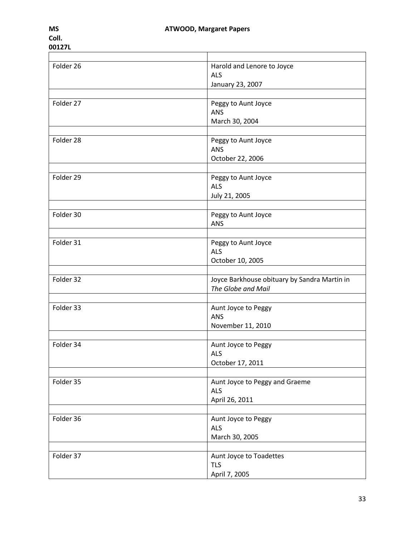| Folder 26 | Harold and Lenore to Joyce                   |
|-----------|----------------------------------------------|
|           | <b>ALS</b>                                   |
|           | January 23, 2007                             |
|           |                                              |
| Folder 27 | Peggy to Aunt Joyce                          |
|           | <b>ANS</b>                                   |
|           | March 30, 2004                               |
|           |                                              |
| Folder 28 | Peggy to Aunt Joyce                          |
|           | <b>ANS</b>                                   |
|           | October 22, 2006                             |
|           |                                              |
| Folder 29 | Peggy to Aunt Joyce                          |
|           | <b>ALS</b>                                   |
|           | July 21, 2005                                |
|           |                                              |
| Folder 30 | Peggy to Aunt Joyce                          |
|           | <b>ANS</b>                                   |
|           |                                              |
| Folder 31 | Peggy to Aunt Joyce                          |
|           | <b>ALS</b>                                   |
|           |                                              |
|           | October 10, 2005                             |
| Folder 32 | Joyce Barkhouse obituary by Sandra Martin in |
|           | The Globe and Mail                           |
|           |                                              |
| Folder 33 |                                              |
|           | Aunt Joyce to Peggy<br><b>ANS</b>            |
|           |                                              |
|           | November 11, 2010                            |
| Folder 34 |                                              |
|           | Aunt Joyce to Peggy                          |
|           | <b>ALS</b>                                   |
|           | October 17, 2011                             |
|           |                                              |
| Folder 35 | Aunt Joyce to Peggy and Graeme               |
|           | <b>ALS</b>                                   |
|           | April 26, 2011                               |
|           |                                              |
| Folder 36 | Aunt Joyce to Peggy                          |
|           | <b>ALS</b>                                   |
|           | March 30, 2005                               |
|           |                                              |
| Folder 37 | Aunt Joyce to Toadettes                      |
|           | <b>TLS</b>                                   |
|           | April 7, 2005                                |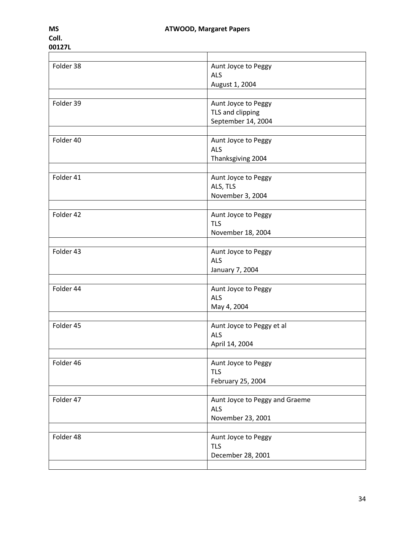| п |  |
|---|--|
|   |  |

| Folder 38 | Aunt Joyce to Peggy            |
|-----------|--------------------------------|
|           | <b>ALS</b>                     |
|           | August 1, 2004                 |
|           |                                |
| Folder 39 | Aunt Joyce to Peggy            |
|           | TLS and clipping               |
|           | September 14, 2004             |
|           |                                |
| Folder 40 | Aunt Joyce to Peggy            |
|           | <b>ALS</b>                     |
|           | Thanksgiving 2004              |
|           |                                |
| Folder 41 | Aunt Joyce to Peggy            |
|           | ALS, TLS                       |
|           |                                |
|           | November 3, 2004               |
| Folder 42 |                                |
|           | Aunt Joyce to Peggy            |
|           | <b>TLS</b>                     |
|           | November 18, 2004              |
| Folder 43 |                                |
|           | Aunt Joyce to Peggy            |
|           | <b>ALS</b>                     |
|           | January 7, 2004                |
|           |                                |
| Folder 44 | Aunt Joyce to Peggy            |
|           | <b>ALS</b>                     |
|           | May 4, 2004                    |
|           |                                |
| Folder 45 | Aunt Joyce to Peggy et al      |
|           | <b>ALS</b>                     |
|           | April 14, 2004                 |
|           |                                |
| Folder 46 | Aunt Joyce to Peggy            |
|           | <b>TLS</b>                     |
|           | February 25, 2004              |
|           |                                |
| Folder 47 | Aunt Joyce to Peggy and Graeme |
|           | <b>ALS</b>                     |
|           | November 23, 2001              |
|           |                                |
| Folder 48 | Aunt Joyce to Peggy            |
|           | <b>TLS</b>                     |
|           | December 28, 2001              |
|           |                                |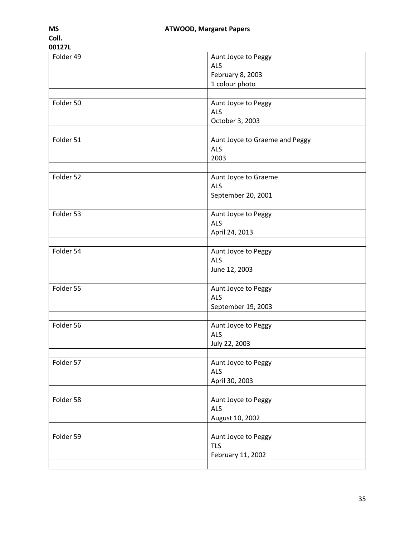| Folder 49 | Aunt Joyce to Peggy            |
|-----------|--------------------------------|
|           |                                |
|           | <b>ALS</b>                     |
|           | February 8, 2003               |
|           |                                |
|           | 1 colour photo                 |
|           |                                |
| Folder 50 | Aunt Joyce to Peggy            |
|           | <b>ALS</b>                     |
|           |                                |
|           | October 3, 2003                |
|           |                                |
| Folder 51 | Aunt Joyce to Graeme and Peggy |
|           | <b>ALS</b>                     |
|           | 2003                           |
|           |                                |
|           |                                |
| Folder 52 | Aunt Joyce to Graeme           |
|           | <b>ALS</b>                     |
|           | September 20, 2001             |
|           |                                |
|           |                                |
| Folder 53 | Aunt Joyce to Peggy            |
|           | <b>ALS</b>                     |
|           | April 24, 2013                 |
|           |                                |
|           |                                |
| Folder 54 | Aunt Joyce to Peggy            |
|           | <b>ALS</b>                     |
|           | June 12, 2003                  |
|           |                                |
|           |                                |
| Folder 55 | Aunt Joyce to Peggy            |
|           | <b>ALS</b>                     |
|           | September 19, 2003             |
|           |                                |
| Folder 56 |                                |
|           | Aunt Joyce to Peggy            |
|           | <b>ALS</b>                     |
|           | July 22, 2003                  |
|           |                                |
| Folder 57 | Aunt Joyce to Peggy            |
|           |                                |
|           | <b>ALS</b>                     |
|           | April 30, 2003                 |
|           |                                |
| Folder 58 | Aunt Joyce to Peggy            |
|           | <b>ALS</b>                     |
|           |                                |
|           | August 10, 2002                |
|           |                                |
| Folder 59 | Aunt Joyce to Peggy            |
|           | <b>TLS</b>                     |
|           |                                |
|           | February 11, 2002              |
|           |                                |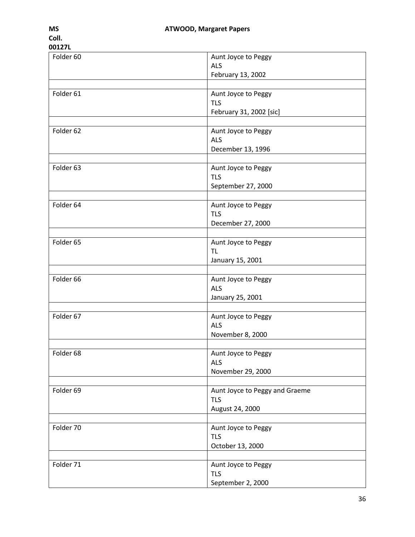| Folder 60 | Aunt Joyce to Peggy<br><b>ALS</b>     |
|-----------|---------------------------------------|
|           | February 13, 2002                     |
|           |                                       |
| Folder 61 | Aunt Joyce to Peggy                   |
|           | <b>TLS</b><br>February 31, 2002 [sic] |
|           |                                       |
| Folder 62 | Aunt Joyce to Peggy                   |
|           | <b>ALS</b>                            |
|           | December 13, 1996                     |
| Folder 63 | Aunt Joyce to Peggy                   |
|           | <b>TLS</b>                            |
|           | September 27, 2000                    |
|           |                                       |
| Folder 64 | Aunt Joyce to Peggy<br><b>TLS</b>     |
|           | December 27, 2000                     |
|           |                                       |
| Folder 65 | Aunt Joyce to Peggy                   |
|           | <b>TL</b>                             |
|           | January 15, 2001                      |
| Folder 66 |                                       |
|           | Aunt Joyce to Peggy<br><b>ALS</b>     |
|           | January 25, 2001                      |
|           |                                       |
| Folder 67 | Aunt Joyce to Peggy                   |
|           | <b>ALS</b>                            |
|           | November 8, 2000                      |
| Folder 68 | Aunt Joyce to Peggy                   |
|           | <b>ALS</b>                            |
|           | November 29, 2000                     |
|           |                                       |
| Folder 69 | Aunt Joyce to Peggy and Graeme        |
|           | <b>TLS</b>                            |
|           | August 24, 2000                       |
| Folder 70 | Aunt Joyce to Peggy                   |
|           | <b>TLS</b>                            |
|           | October 13, 2000                      |
|           |                                       |
| Folder 71 | Aunt Joyce to Peggy                   |
|           | <b>TLS</b><br>September 2, 2000       |
|           |                                       |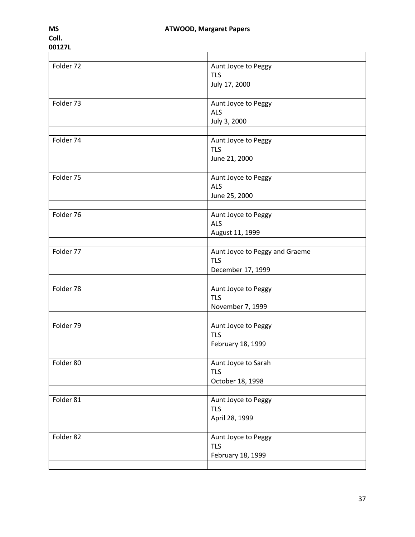| Folder 72 | Aunt Joyce to Peggy            |
|-----------|--------------------------------|
|           | <b>TLS</b>                     |
|           | July 17, 2000                  |
|           |                                |
| Folder 73 | Aunt Joyce to Peggy            |
|           | <b>ALS</b>                     |
|           | July 3, 2000                   |
|           |                                |
| Folder 74 | Aunt Joyce to Peggy            |
|           | <b>TLS</b>                     |
|           | June 21, 2000                  |
|           |                                |
| Folder 75 | Aunt Joyce to Peggy            |
|           | <b>ALS</b>                     |
|           | June 25, 2000                  |
|           |                                |
| Folder 76 | Aunt Joyce to Peggy            |
|           | <b>ALS</b>                     |
|           | August 11, 1999                |
|           |                                |
| Folder 77 | Aunt Joyce to Peggy and Graeme |
|           | <b>TLS</b>                     |
|           | December 17, 1999              |
|           |                                |
| Folder 78 | Aunt Joyce to Peggy            |
|           | <b>TLS</b>                     |
|           | November 7, 1999               |
|           |                                |
| Folder 79 | Aunt Joyce to Peggy            |
|           | <b>TLS</b>                     |
|           | February 18, 1999              |
|           |                                |
| Folder 80 | Aunt Joyce to Sarah            |
|           | <b>TLS</b>                     |
|           | October 18, 1998               |
|           |                                |
| Folder 81 | Aunt Joyce to Peggy            |
|           | <b>TLS</b>                     |
|           | April 28, 1999                 |
|           |                                |
| Folder 82 | Aunt Joyce to Peggy            |
|           | <b>TLS</b>                     |
|           | February 18, 1999              |
|           |                                |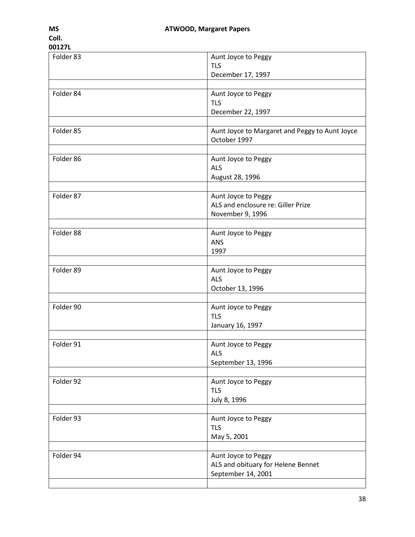| Folder 83 | Aunt Joyce to Peggy                            |
|-----------|------------------------------------------------|
|           | <b>TLS</b>                                     |
|           |                                                |
|           | December 17, 1997                              |
|           |                                                |
| Folder 84 | Aunt Joyce to Peggy                            |
|           | <b>TLS</b>                                     |
|           | December 22, 1997                              |
|           |                                                |
|           |                                                |
| Folder 85 | Aunt Joyce to Margaret and Peggy to Aunt Joyce |
|           | October 1997                                   |
|           |                                                |
| Folder 86 | Aunt Joyce to Peggy                            |
|           | <b>ALS</b>                                     |
|           |                                                |
|           | August 28, 1996                                |
|           |                                                |
| Folder 87 | Aunt Joyce to Peggy                            |
|           | ALS and enclosure re: Giller Prize             |
|           | November 9, 1996                               |
|           |                                                |
|           |                                                |
| Folder 88 | Aunt Joyce to Peggy                            |
|           | <b>ANS</b>                                     |
|           | 1997                                           |
|           |                                                |
| Folder 89 | Aunt Joyce to Peggy                            |
|           | <b>ALS</b>                                     |
|           |                                                |
|           | October 13, 1996                               |
|           |                                                |
| Folder 90 | Aunt Joyce to Peggy                            |
|           | <b>TLS</b>                                     |
|           | January 16, 1997                               |
|           |                                                |
| Folder 91 | Aunt Joyce to Peggy                            |
|           |                                                |
|           | ALS                                            |
|           | September 13, 1996                             |
|           |                                                |
| Folder 92 | Aunt Joyce to Peggy                            |
|           | <b>TLS</b>                                     |
|           |                                                |
|           | July 8, 1996                                   |
|           |                                                |
| Folder 93 | Aunt Joyce to Peggy                            |
|           | <b>TLS</b>                                     |
|           | May 5, 2001                                    |
|           |                                                |
| Folder 94 | Aunt Joyce to Peggy                            |
|           | ALS and obituary for Helene Bennet             |
|           |                                                |
|           | September 14, 2001                             |
|           |                                                |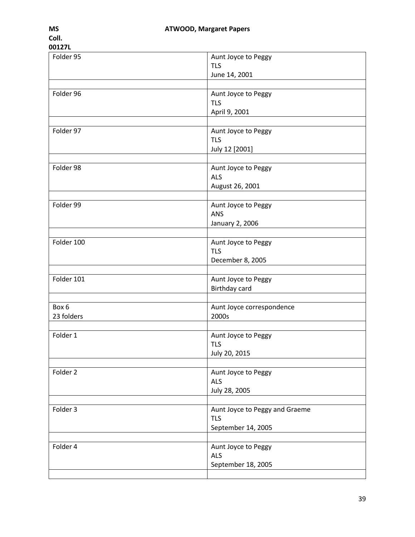| Folder 95           | Aunt Joyce to Peggy<br><b>TLS</b><br>June 14, 2001                 |
|---------------------|--------------------------------------------------------------------|
| Folder 96           | Aunt Joyce to Peggy<br><b>TLS</b><br>April 9, 2001                 |
| Folder 97           | Aunt Joyce to Peggy<br><b>TLS</b><br>July 12 [2001]                |
| Folder 98           | Aunt Joyce to Peggy<br><b>ALS</b><br>August 26, 2001               |
| Folder 99           | Aunt Joyce to Peggy<br>ANS<br>January 2, 2006                      |
| Folder 100          | Aunt Joyce to Peggy<br><b>TLS</b><br>December 8, 2005              |
| Folder 101          | Aunt Joyce to Peggy<br>Birthday card                               |
| Box 6<br>23 folders | Aunt Joyce correspondence<br>2000s                                 |
| Folder 1            | Aunt Joyce to Peggy<br><b>TLS</b><br>July 20, 2015                 |
| Folder 2            | Aunt Joyce to Peggy<br><b>ALS</b><br>July 28, 2005                 |
| Folder 3            | Aunt Joyce to Peggy and Graeme<br><b>TLS</b><br>September 14, 2005 |
| Folder 4            | Aunt Joyce to Peggy<br><b>ALS</b><br>September 18, 2005            |
|                     |                                                                    |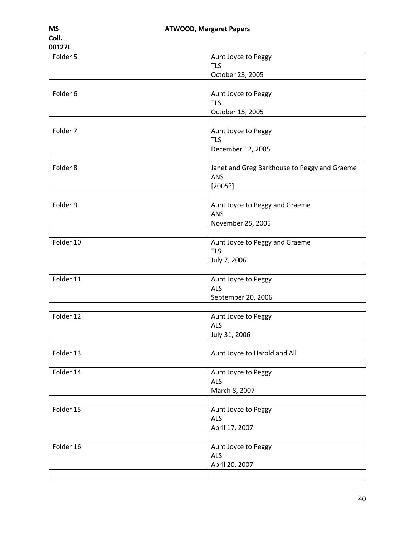| Folder 5  | Aunt Joyce to Peggy                          |
|-----------|----------------------------------------------|
|           | <b>TLS</b>                                   |
|           | October 23, 2005                             |
| Folder 6  | Aunt Joyce to Peggy                          |
|           | <b>TLS</b>                                   |
|           | October 15, 2005                             |
|           |                                              |
| Folder 7  | Aunt Joyce to Peggy                          |
|           | <b>TLS</b>                                   |
|           | December 12, 2005                            |
|           |                                              |
| Folder 8  | Janet and Greg Barkhouse to Peggy and Graeme |
|           | ANS                                          |
|           | [2005?]                                      |
| Folder 9  | Aunt Joyce to Peggy and Graeme               |
|           | <b>ANS</b>                                   |
|           | November 25, 2005                            |
|           |                                              |
| Folder 10 | Aunt Joyce to Peggy and Graeme               |
|           | <b>TLS</b>                                   |
|           | July 7, 2006                                 |
|           |                                              |
| Folder 11 | Aunt Joyce to Peggy                          |
|           | <b>ALS</b><br>September 20, 2006             |
|           |                                              |
| Folder 12 | Aunt Joyce to Peggy                          |
|           | <b>ALS</b>                                   |
|           | July 31, 2006                                |
|           |                                              |
| Folder 13 | Aunt Joyce to Harold and All                 |
|           |                                              |
| Folder 14 | Aunt Joyce to Peggy<br><b>ALS</b>            |
|           | March 8, 2007                                |
|           |                                              |
| Folder 15 | Aunt Joyce to Peggy                          |
|           | <b>ALS</b>                                   |
|           | April 17, 2007                               |
|           |                                              |
| Folder 16 | Aunt Joyce to Peggy                          |
|           | <b>ALS</b>                                   |
|           | April 20, 2007                               |
|           |                                              |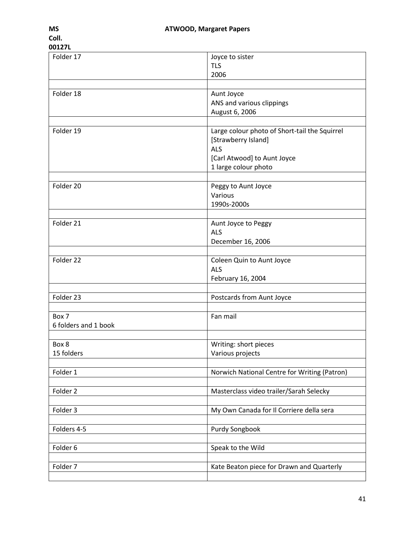| UU161 L              |                                               |
|----------------------|-----------------------------------------------|
| Folder 17            | Joyce to sister                               |
|                      |                                               |
|                      | <b>TLS</b>                                    |
|                      | 2006                                          |
|                      |                                               |
| Folder 18            | Aunt Joyce                                    |
|                      | ANS and various clippings                     |
|                      |                                               |
|                      | August 6, 2006                                |
|                      |                                               |
| Folder 19            | Large colour photo of Short-tail the Squirrel |
|                      | [Strawberry Island]                           |
|                      | <b>ALS</b>                                    |
|                      |                                               |
|                      | [Carl Atwood] to Aunt Joyce                   |
|                      | 1 large colour photo                          |
|                      |                                               |
| Folder 20            | Peggy to Aunt Joyce                           |
|                      | Various                                       |
|                      |                                               |
|                      | 1990s-2000s                                   |
|                      |                                               |
| Folder 21            | Aunt Joyce to Peggy                           |
|                      | <b>ALS</b>                                    |
|                      |                                               |
|                      | December 16, 2006                             |
|                      |                                               |
| Folder 22            | Coleen Quin to Aunt Joyce                     |
|                      | <b>ALS</b>                                    |
|                      | February 16, 2004                             |
|                      |                                               |
|                      |                                               |
| Folder 23            | Postcards from Aunt Joyce                     |
|                      |                                               |
| Box 7                | Fan mail                                      |
| 6 folders and 1 book |                                               |
|                      |                                               |
| Box 8                | Writing: short pieces                         |
| 15 folders           | Various projects                              |
|                      |                                               |
|                      |                                               |
| Folder 1             | Norwich National Centre for Writing (Patron)  |
|                      |                                               |
| Folder 2             | Masterclass video trailer/Sarah Selecky       |
|                      |                                               |
| Folder 3             | My Own Canada for Il Corriere della sera      |
|                      |                                               |
|                      |                                               |
| Folders 4-5          | Purdy Songbook                                |
|                      |                                               |
| Folder 6             | Speak to the Wild                             |
|                      |                                               |
| Folder 7             | Kate Beaton piece for Drawn and Quarterly     |
|                      |                                               |
|                      |                                               |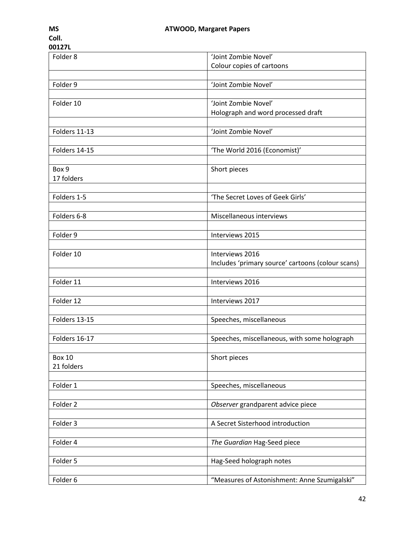| COII.<br>00127L |                                                   |
|-----------------|---------------------------------------------------|
| Folder 8        | 'Joint Zombie Novel'                              |
|                 | Colour copies of cartoons                         |
|                 |                                                   |
| Folder 9        | 'Joint Zombie Novel'                              |
| Folder 10       | 'Joint Zombie Novel'                              |
|                 | Holograph and word processed draft                |
|                 |                                                   |
| Folders 11-13   | 'Joint Zombie Novel'                              |
|                 |                                                   |
| Folders 14-15   | 'The World 2016 (Economist)'                      |
|                 |                                                   |
| Box 9           | Short pieces                                      |
| 17 folders      |                                                   |
|                 |                                                   |
| Folders 1-5     | 'The Secret Loves of Geek Girls'                  |
| Folders 6-8     | Miscellaneous interviews                          |
|                 |                                                   |
| Folder 9        | Interviews 2015                                   |
|                 |                                                   |
| Folder 10       | Interviews 2016                                   |
|                 | Includes 'primary source' cartoons (colour scans) |
|                 |                                                   |
| Folder 11       | Interviews 2016                                   |
|                 |                                                   |
| Folder 12       | Interviews 2017                                   |
|                 |                                                   |
| Folders 13-15   | Speeches, miscellaneous                           |
| Folders 16-17   | Speeches, miscellaneous, with some holograph      |
|                 |                                                   |
| <b>Box 10</b>   | Short pieces                                      |
| 21 folders      |                                                   |
|                 |                                                   |
| Folder 1        | Speeches, miscellaneous                           |
|                 |                                                   |
| Folder 2        | Observer grandparent advice piece                 |
|                 |                                                   |
| Folder 3        | A Secret Sisterhood introduction                  |
|                 |                                                   |
| Folder 4        | The Guardian Hag-Seed piece                       |
|                 |                                                   |
| Folder 5        | Hag-Seed holograph notes                          |

Folder 6 "Measures of Astonishment: Anne Szumigalski"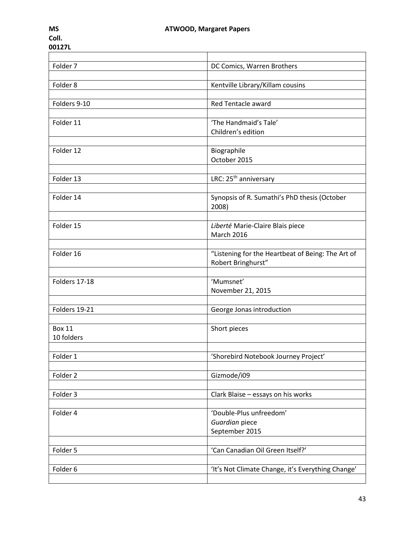| Folder 7      | DC Comics, Warren Brothers                        |
|---------------|---------------------------------------------------|
|               |                                                   |
| Folder 8      | Kentville Library/Killam cousins                  |
|               |                                                   |
| Folders 9-10  | Red Tentacle award                                |
|               |                                                   |
| Folder 11     | 'The Handmaid's Tale'                             |
|               | Children's edition                                |
|               |                                                   |
| Folder 12     | Biographile                                       |
|               | October 2015                                      |
|               |                                                   |
| Folder 13     | LRC: 25 <sup>th</sup> anniversary                 |
|               |                                                   |
| Folder 14     | Synopsis of R. Sumathi's PhD thesis (October      |
|               | 2008)                                             |
|               |                                                   |
| Folder 15     | Liberté Marie-Claire Blais piece                  |
|               | <b>March 2016</b>                                 |
|               |                                                   |
| Folder 16     | "Listening for the Heartbeat of Being: The Art of |
|               | Robert Bringhurst"                                |
|               |                                                   |
| Folders 17-18 | 'Mumsnet'                                         |
|               | November 21, 2015                                 |
|               |                                                   |
| Folders 19-21 | George Jonas introduction                         |
|               |                                                   |
| <b>Box 11</b> | Short pieces                                      |
| 10 folders    |                                                   |
|               |                                                   |
|               |                                                   |
| Folder 1      | 'Shorebird Notebook Journey Project'              |
|               |                                                   |
| Folder 2      | Gizmode/i09                                       |
|               |                                                   |
| Folder 3      | Clark Blaise - essays on his works                |
|               |                                                   |
| Folder 4      | 'Double-Plus unfreedom'                           |
|               | Guardian piece                                    |
|               | September 2015                                    |
|               |                                                   |
| Folder 5      | 'Can Canadian Oil Green Itself?'                  |
|               |                                                   |
| Folder 6      | 'It's Not Climate Change, it's Everything Change' |
|               |                                                   |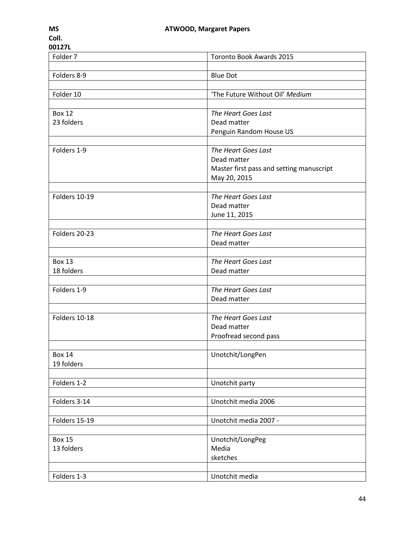| MS    |  |
|-------|--|
| Coll. |  |

| UU1616              |                                          |
|---------------------|------------------------------------------|
| Folder <sub>7</sub> | Toronto Book Awards 2015                 |
|                     |                                          |
| Folders 8-9         | <b>Blue Dot</b>                          |
|                     |                                          |
|                     | 'The Future Without Oil' Medium          |
| Folder 10           |                                          |
|                     |                                          |
| <b>Box 12</b>       | The Heart Goes Last                      |
| 23 folders          | Dead matter                              |
|                     | Penguin Random House US                  |
|                     |                                          |
| Folders 1-9         | The Heart Goes Last                      |
|                     | Dead matter                              |
|                     | Master first pass and setting manuscript |
|                     | May 20, 2015                             |
|                     |                                          |
| Folders 10-19       | The Heart Goes Last                      |
|                     |                                          |
|                     | Dead matter                              |
|                     | June 11, 2015                            |
|                     |                                          |
| Folders 20-23       | The Heart Goes Last                      |
|                     | Dead matter                              |
|                     |                                          |
| <b>Box 13</b>       | The Heart Goes Last                      |
| 18 folders          | Dead matter                              |
|                     |                                          |
| Folders 1-9         | The Heart Goes Last                      |
|                     | Dead matter                              |
|                     |                                          |
|                     |                                          |
| Folders 10-18       | The Heart Goes Last                      |
|                     | Dead matter                              |
|                     | Proofread second pass                    |
|                     |                                          |
| Box 14              | Unotchit/LongPen                         |
| 19 folders          |                                          |
|                     |                                          |
| Folders 1-2         | Unotchit party                           |
|                     |                                          |
| Folders 3-14        | Unotchit media 2006                      |
|                     |                                          |
|                     |                                          |
| Folders 15-19       | Unotchit media 2007 -                    |
|                     |                                          |
| <b>Box 15</b>       | Unotchit/LongPeg                         |
| 13 folders          | Media                                    |
|                     | sketches                                 |
|                     |                                          |
| Folders 1-3         | Unotchit media                           |
|                     |                                          |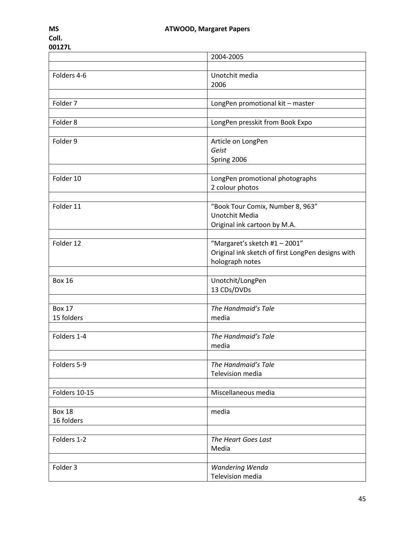|               | 2004-2005                                         |
|---------------|---------------------------------------------------|
|               |                                                   |
| Folders 4-6   | Unotchit media<br>2006                            |
|               |                                                   |
| Folder 7      | LongPen promotional kit - master                  |
|               |                                                   |
| Folder 8      | LongPen presskit from Book Expo                   |
|               |                                                   |
| Folder 9      | Article on LongPen                                |
|               | Geist                                             |
|               | Spring 2006                                       |
|               |                                                   |
| Folder 10     | LongPen promotional photographs                   |
|               | 2 colour photos                                   |
|               |                                                   |
| Folder 11     | "Book Tour Comix, Number 8, 963"                  |
|               | <b>Unotchit Media</b>                             |
|               | Original ink cartoon by M.A.                      |
|               |                                                   |
| Folder 12     | "Margaret's sketch #1 - 2001"                     |
|               | Original ink sketch of first LongPen designs with |
|               | holograph notes                                   |
| <b>Box 16</b> |                                                   |
|               | Unotchit/LongPen<br>13 CDs/DVDs                   |
|               |                                                   |
| <b>Box 17</b> | The Handmaid's Tale                               |
| 15 folders    | media                                             |
|               |                                                   |
| Folders 1-4   | The Handmaid's Tale                               |
|               | media                                             |
|               |                                                   |
| Folders 5-9   | The Handmaid's Tale                               |
|               | Television media                                  |
|               |                                                   |
| Folders 10-15 | Miscellaneous media                               |
|               |                                                   |
| <b>Box 18</b> | media                                             |
| 16 folders    |                                                   |
|               |                                                   |
| Folders 1-2   | The Heart Goes Last                               |
|               | Media                                             |
|               |                                                   |
| Folder 3      | Wandering Wenda                                   |
|               | Television media                                  |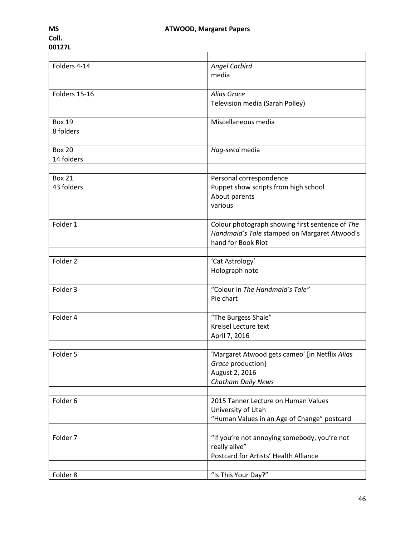| Folders 4-14  | <b>Angel Catbird</b>                            |
|---------------|-------------------------------------------------|
|               | media                                           |
|               |                                                 |
| Folders 15-16 | Alias Grace                                     |
|               | Television media (Sarah Polley)                 |
|               |                                                 |
| <b>Box 19</b> | Miscellaneous media                             |
| 8 folders     |                                                 |
|               |                                                 |
| <b>Box 20</b> | Hag-seed media                                  |
| 14 folders    |                                                 |
|               |                                                 |
| <b>Box 21</b> | Personal correspondence                         |
| 43 folders    | Puppet show scripts from high school            |
|               | About parents                                   |
|               | various                                         |
|               |                                                 |
| Folder 1      | Colour photograph showing first sentence of The |
|               | Handmaid's Tale stamped on Margaret Atwood's    |
|               | hand for Book Riot                              |
|               |                                                 |
| Folder 2      | 'Cat Astrology'                                 |
|               | Holograph note                                  |
|               |                                                 |
| Folder 3      | "Colour in The Handmaid's Tale"                 |
|               | Pie chart                                       |
|               |                                                 |
| Folder 4      | "The Burgess Shale"                             |
|               | Kreisel Lecture text                            |
|               | April 7, 2016                                   |
|               |                                                 |
| Folder 5      |                                                 |
|               | 'Margaret Atwood gets cameo' [in Netflix Alias  |
|               | Grace production]                               |
|               | August 2, 2016                                  |
|               | Chatham Daily News                              |
|               |                                                 |
| Folder 6      | 2015 Tanner Lecture on Human Values             |
|               | University of Utah                              |
|               | "Human Values in an Age of Change" postcard     |
|               |                                                 |
| Folder 7      | "If you're not annoying somebody, you're not    |
|               | really alive"                                   |
|               | Postcard for Artists' Health Alliance           |
|               |                                                 |
| Folder 8      | "Is This Your Day?"                             |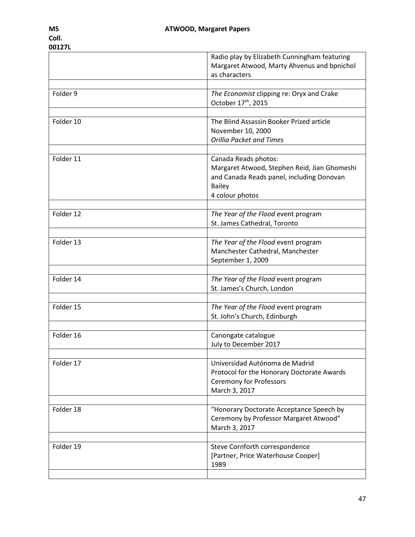|           | Radio play by Elizabeth Cunningham featuring<br>Margaret Atwood, Marty Ahvenus and bpnichol<br>as characters                                          |
|-----------|-------------------------------------------------------------------------------------------------------------------------------------------------------|
|           |                                                                                                                                                       |
| Folder 9  | The Economist clipping re: Oryx and Crake<br>October 17th, 2015                                                                                       |
|           |                                                                                                                                                       |
| Folder 10 | The Blind Assassin Booker Prized article<br>November 10, 2000<br><b>Orillia Packet and Times</b>                                                      |
|           |                                                                                                                                                       |
| Folder 11 | Canada Reads photos:<br>Margaret Atwood, Stephen Reid, Jian Ghomeshi<br>and Canada Reads panel, including Donovan<br><b>Bailey</b><br>4 colour photos |
| Folder 12 | The Year of the Flood event program                                                                                                                   |
|           | St. James Cathedral, Toronto                                                                                                                          |
|           |                                                                                                                                                       |
| Folder 13 | The Year of the Flood event program<br>Manchester Cathedral, Manchester<br>September 1, 2009                                                          |
|           |                                                                                                                                                       |
| Folder 14 | The Year of the Flood event program<br>St. James's Church, London                                                                                     |
|           |                                                                                                                                                       |
| Folder 15 | The Year of the Flood event program<br>St. John's Church, Edinburgh                                                                                   |
|           |                                                                                                                                                       |
| Folder 16 | Canongate catalogue<br>July to December 2017                                                                                                          |
| Folder 17 | Universidad Autónoma de Madrid<br>Protocol for the Honorary Doctorate Awards<br><b>Ceremony for Professors</b><br>March 3, 2017                       |
| Folder 18 | "Honorary Doctorate Acceptance Speech by<br>Ceremony by Professor Margaret Atwood"<br>March 3, 2017                                                   |
| Folder 19 | Steve Cornforth correspondence<br>[Partner, Price Waterhouse Cooper]<br>1989                                                                          |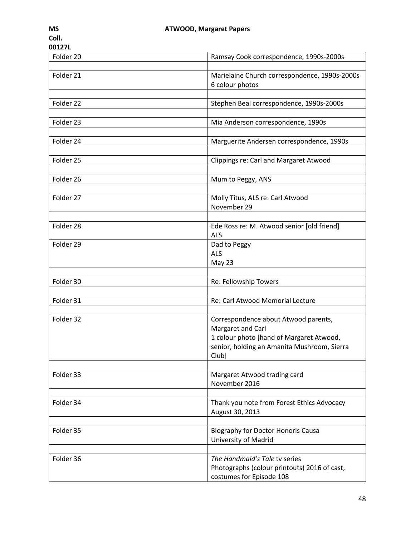| Folder 20 | Ramsay Cook correspondence, 1990s-2000s                                                                                                                       |
|-----------|---------------------------------------------------------------------------------------------------------------------------------------------------------------|
| Folder 21 | Marielaine Church correspondence, 1990s-2000s<br>6 colour photos                                                                                              |
| Folder 22 | Stephen Beal correspondence, 1990s-2000s                                                                                                                      |
| Folder 23 | Mia Anderson correspondence, 1990s                                                                                                                            |
| Folder 24 | Marguerite Andersen correspondence, 1990s                                                                                                                     |
| Folder 25 | Clippings re: Carl and Margaret Atwood                                                                                                                        |
| Folder 26 | Mum to Peggy, ANS                                                                                                                                             |
| Folder 27 | Molly Titus, ALS re: Carl Atwood<br>November 29                                                                                                               |
| Folder 28 | Ede Ross re: M. Atwood senior [old friend]<br><b>ALS</b>                                                                                                      |
| Folder 29 | Dad to Peggy<br><b>ALS</b><br>May 23                                                                                                                          |
| Folder 30 | Re: Fellowship Towers                                                                                                                                         |
| Folder 31 | Re: Carl Atwood Memorial Lecture                                                                                                                              |
|           |                                                                                                                                                               |
| Folder 32 | Correspondence about Atwood parents,<br>Margaret and Carl<br>1 colour photo [hand of Margaret Atwood,<br>senior, holding an Amanita Mushroom, Sierra<br>Club] |
| Folder 33 | Margaret Atwood trading card<br>November 2016                                                                                                                 |
| Folder 34 | Thank you note from Forest Ethics Advocacy<br>August 30, 2013                                                                                                 |
| Folder 35 | Biography for Doctor Honoris Causa<br>University of Madrid                                                                                                    |
| Folder 36 | The Handmaid's Tale tv series<br>Photographs (colour printouts) 2016 of cast,<br>costumes for Episode 108                                                     |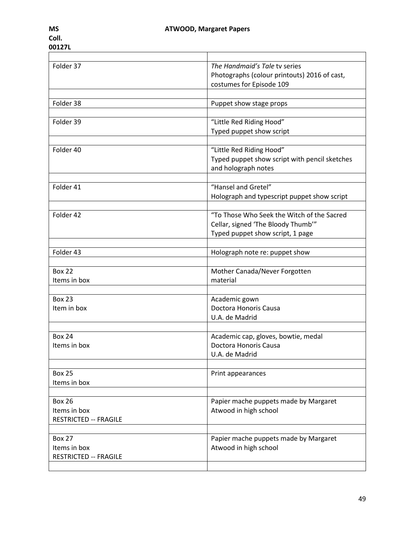| Folder 37                    | The Handmaid's Tale ty series                 |
|------------------------------|-----------------------------------------------|
|                              | Photographs (colour printouts) 2016 of cast,  |
|                              | costumes for Episode 109                      |
|                              |                                               |
| Folder 38                    | Puppet show stage props                       |
|                              |                                               |
| Folder 39                    | "Little Red Riding Hood"                      |
|                              | Typed puppet show script                      |
|                              |                                               |
| Folder 40                    | "Little Red Riding Hood"                      |
|                              | Typed puppet show script with pencil sketches |
|                              | and holograph notes                           |
|                              |                                               |
| Folder 41                    | "Hansel and Gretel"                           |
|                              | Holograph and typescript puppet show script   |
|                              |                                               |
| Folder 42                    | "To Those Who Seek the Witch of the Sacred    |
|                              | Cellar, signed 'The Bloody Thumb'"            |
|                              | Typed puppet show script, 1 page              |
|                              |                                               |
| Folder 43                    | Holograph note re: puppet show                |
|                              |                                               |
| <b>Box 22</b>                | Mother Canada/Never Forgotten                 |
| Items in box                 | material                                      |
|                              |                                               |
| <b>Box 23</b>                | Academic gown                                 |
| Item in box                  | Doctora Honoris Causa                         |
|                              | U.A. de Madrid                                |
|                              |                                               |
| <b>Box 24</b>                | Academic cap, gloves, bowtie, medal           |
| Items in box                 | Doctora Honoris Causa                         |
|                              | U.A. de Madrid                                |
|                              |                                               |
| <b>Box 25</b>                | Print appearances                             |
| Items in box                 |                                               |
|                              |                                               |
| <b>Box 26</b>                | Papier mache puppets made by Margaret         |
| Items in box                 | Atwood in high school                         |
| <b>RESTRICTED -- FRAGILE</b> |                                               |
|                              |                                               |
| <b>Box 27</b>                | Papier mache puppets made by Margaret         |
| Items in box                 | Atwood in high school                         |
| <b>RESTRICTED -- FRAGILE</b> |                                               |
|                              |                                               |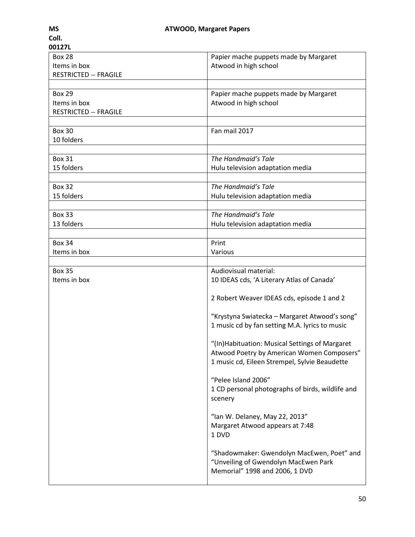| 00127L                       |                                                  |
|------------------------------|--------------------------------------------------|
| <b>Box 28</b>                | Papier mache puppets made by Margaret            |
| Items in box                 | Atwood in high school                            |
| <b>RESTRICTED -- FRAGILE</b> |                                                  |
|                              |                                                  |
| <b>Box 29</b>                | Papier mache puppets made by Margaret            |
| Items in box                 | Atwood in high school                            |
| <b>RESTRICTED -- FRAGILE</b> |                                                  |
|                              |                                                  |
| <b>Box 30</b>                | Fan mail 2017                                    |
| 10 folders                   |                                                  |
|                              |                                                  |
| <b>Box 31</b>                | The Handmaid's Tale                              |
| 15 folders                   | Hulu television adaptation media                 |
| <b>Box 32</b>                | The Handmaid's Tale                              |
| 15 folders                   |                                                  |
|                              | Hulu television adaptation media                 |
| <b>Box 33</b>                | The Handmaid's Tale                              |
| 13 folders                   | Hulu television adaptation media                 |
|                              |                                                  |
| <b>Box 34</b>                | Print                                            |
| Items in box                 | Various                                          |
|                              |                                                  |
| <b>Box 35</b>                | Audiovisual material:                            |
| Items in box                 | 10 IDEAS cds, 'A Literary Atlas of Canada'       |
|                              |                                                  |
|                              | 2 Robert Weaver IDEAS cds, episode 1 and 2       |
|                              |                                                  |
|                              | "Krystyna Swiatecka - Margaret Atwood's song"    |
|                              | 1 music cd by fan setting M.A. lyrics to music   |
|                              |                                                  |
|                              | "(In) Habituation: Musical Settings of Margaret  |
|                              | Atwood Poetry by American Women Composers"       |
|                              | 1 music cd, Eileen Strempel, Sylvie Beaudette    |
|                              | "Pelee Island 2006"                              |
|                              |                                                  |
|                              | 1 CD personal photographs of birds, wildlife and |
|                              | scenery                                          |
|                              | "Ian W. Delaney, May 22, 2013"                   |
|                              | Margaret Atwood appears at 7:48                  |
|                              | 1 DVD                                            |
|                              |                                                  |
|                              | "Shadowmaker: Gwendolyn MacEwen, Poet" and       |
|                              | "Unveiling of Gwendolyn MacEwen Park             |
|                              | Memorial" 1998 and 2006, 1 DVD                   |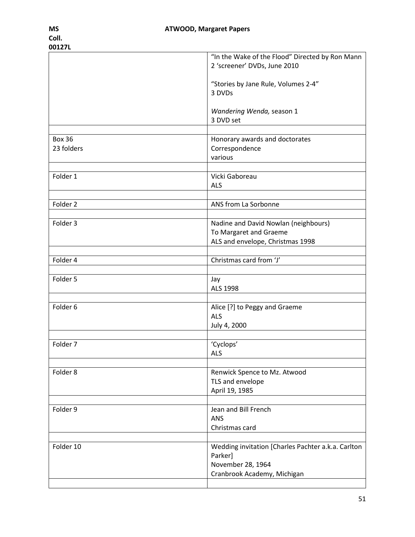|               | "In the Wake of the Flood" Directed by Ron Mann    |
|---------------|----------------------------------------------------|
|               | 2 'screener' DVDs, June 2010                       |
|               | "Stories by Jane Rule, Volumes 2-4"                |
|               | 3 DVDs                                             |
|               | Wandering Wenda, season 1                          |
|               | 3 DVD set                                          |
|               |                                                    |
| <b>Box 36</b> | Honorary awards and doctorates                     |
| 23 folders    | Correspondence                                     |
|               | various                                            |
| Folder 1      | Vicki Gaboreau                                     |
|               | <b>ALS</b>                                         |
|               |                                                    |
| Folder 2      | ANS from La Sorbonne                               |
| Folder 3      | Nadine and David Nowlan (neighbours)               |
|               | To Margaret and Graeme                             |
|               | ALS and envelope, Christmas 1998                   |
|               | Christmas card from 'J'                            |
| Folder 4      |                                                    |
| Folder 5      | Jay                                                |
|               | ALS 1998                                           |
|               |                                                    |
| Folder 6      | Alice [?] to Peggy and Graeme<br><b>ALS</b>        |
|               | July 4, 2000                                       |
|               |                                                    |
| Folder 7      | 'Cyclops'                                          |
|               | <b>ALS</b>                                         |
| Folder 8      | Renwick Spence to Mz. Atwood                       |
|               | TLS and envelope                                   |
|               | April 19, 1985                                     |
| Folder 9      | Jean and Bill French                               |
|               | <b>ANS</b>                                         |
|               | Christmas card                                     |
|               |                                                    |
| Folder 10     | Wedding invitation [Charles Pachter a.k.a. Carlton |
|               | Parker]<br>November 28, 1964                       |
|               | Cranbrook Academy, Michigan                        |
|               |                                                    |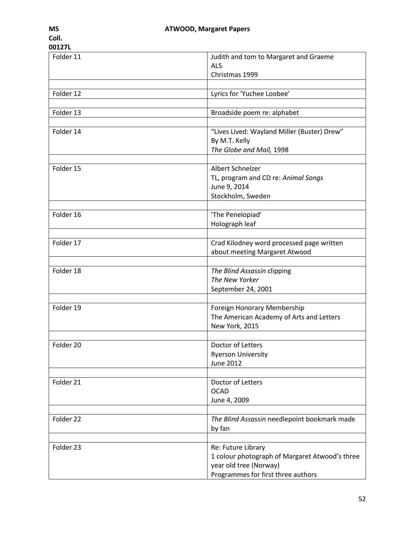| Folder 11 | Judith and tom to Margaret and Graeme          |
|-----------|------------------------------------------------|
|           | <b>ALS</b>                                     |
|           | Christmas 1999                                 |
| Folder 12 | Lyrics for 'Yuchee Loobee'                     |
|           |                                                |
| Folder 13 | Broadside poem re: alphabet                    |
|           |                                                |
| Folder 14 | "Lives Lived: Wayland Miller (Buster) Drew"    |
|           | By M.T. Kelly                                  |
|           | The Globe and Mail, 1998                       |
|           |                                                |
| Folder 15 | Albert Schnelzer                               |
|           | TL, program and CD re: Animal Songs            |
|           | June 9, 2014<br>Stockholm, Sweden              |
|           |                                                |
| Folder 16 | 'The Penelopiad'                               |
|           | Holograph leaf                                 |
|           |                                                |
| Folder 17 | Crad Kilodney word processed page written      |
|           | about meeting Margaret Atwood                  |
|           |                                                |
| Folder 18 | The Blind Assassin clipping                    |
|           | The New Yorker                                 |
|           | September 24, 2001                             |
| Folder 19 | Foreign Honorary Membership                    |
|           | The American Academy of Arts and Letters       |
|           | New York, 2015                                 |
|           |                                                |
| Folder 20 | Doctor of Letters                              |
|           | <b>Ryerson University</b>                      |
|           | <b>June 2012</b>                               |
|           |                                                |
| Folder 21 | Doctor of Letters                              |
|           | <b>OCAD</b>                                    |
|           | June 4, 2009                                   |
| Folder 22 | The Blind Assassin needlepoint bookmark made   |
|           | by fan                                         |
|           |                                                |
| Folder 23 | Re: Future Library                             |
|           | 1 colour photograph of Margaret Atwood's three |
|           | year old tree (Norway)                         |
|           | Programmes for first three authors             |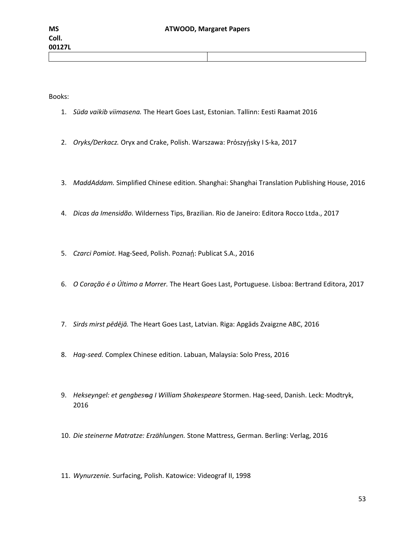Books:

- 1. *Süda vaikib viimasena.* The Heart Goes Last, Estonian. Tallinn: Eesti Raamat 2016
- 2. *Oryks/Derkacz.* Oryx and Crake, Polish. Warszawa: Prószyńsky I S-ka, 2017
- 3. *MaddAddam.* Simplified Chinese edition. Shanghai: Shanghai Translation Publishing House, 2016
- 4. *Dicas da Imensidão.* Wilderness Tips, Brazilian. Rio de Janeiro: Editora Rocco Ltda., 2017
- 5. Czarci Pomiot. Hag-Seed, Polish. Poznań: Publicat S.A., 2016
- 6. *O Coração é o Último a Morrer.* The Heart Goes Last, Portuguese. Lisboa: Bertrand Editora, 2017
- 7. *Sirds mirst pēdējā.* The Heart Goes Last, Latvian. Riga: Apgāds Zvaigzne ABC, 2016
- 8. *Hag-seed.* Complex Chinese edition. Labuan, Malaysia: Solo Press, 2016
- 9. Hekseyngel: et gengbes<sub><sup>9</sub></sup> I William Shakespeare Stormen. Hag-seed, Danish. Leck: Modtryk,</sub> 2016
- 10. *Die steinerne Matratze: Erzählungen.* Stone Mattress, German. Berling: Verlag, 2016
- 11. *Wynurzenie.* Surfacing, Polish. Katowice: Videograf II, 1998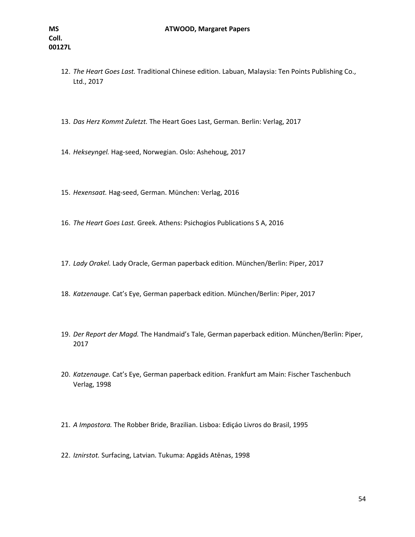- 12. *The Heart Goes Last.* Traditional Chinese edition. Labuan, Malaysia: Ten Points Publishing Co., Ltd., 2017
- 13. *Das Herz Kommt Zuletzt.* The Heart Goes Last, German. Berlin: Verlag, 2017
- 14. *Hekseyngel.* Hag-seed, Norwegian. Oslo: Ashehoug, 2017
- 15. *Hexensaat.* Hag-seed, German. München: Verlag, 2016
- 16. *The Heart Goes Last.* Greek. Athens: Psichogios Publications S A, 2016
- 17. *Lady Orakel.* Lady Oracle, German paperback edition. München/Berlin: Piper, 2017
- 18. *Katzenauge.* Cat's Eye, German paperback edition. München/Berlin: Piper, 2017
- 19. *Der Report der Magd.* The Handmaid's Tale, German paperback edition. München/Berlin: Piper, 2017
- 20. *Katzenauge.* Cat's Eye, German paperback edition. Frankfurt am Main: Fischer Taschenbuch Verlag, 1998
- 21. *A Impostora.* The Robber Bride, Brazilian. Lisboa: Ediçáo Livros do Brasil, 1995
- 22. *Iznirstot.* Surfacing, Latvian. Tukuma: Apgäds Atēnas, 1998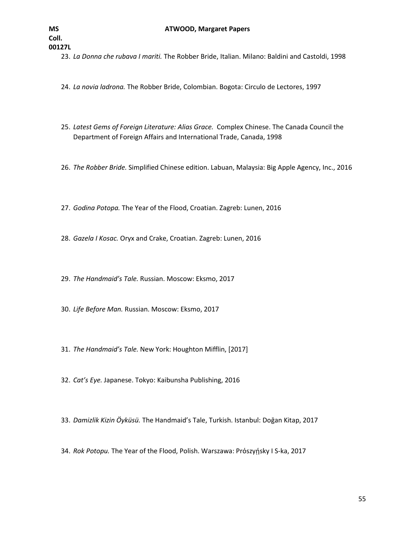**00127L**

23. *La Donna che rubava I mariti.* The Robber Bride, Italian. Milano: Baldini and Castoldi, 1998

24. *La novia ladrona.* The Robber Bride, Colombian. Bogota: Circulo de Lectores, 1997

- 25. *Latest Gems of Foreign Literature: Alias Grace.* Complex Chinese. The Canada Council the Department of Foreign Affairs and International Trade, Canada, 1998
- 26. *The Robber Bride.* Simplified Chinese edition. Labuan, Malaysia: Big Apple Agency, Inc., 2016
- 27. *Godina Potopa.* The Year of the Flood, Croatian. Zagreb: Lunen, 2016
- 28. *Gazela I Kosac.* Oryx and Crake, Croatian. Zagreb: Lunen, 2016
- 29. *The Handmaid's Tale.* Russian. Moscow: Eksmo, 2017
- 30. *Life Before Man.* Russian. Moscow: Eksmo, 2017
- 31. *The Handmaid's Tale.* New York: Houghton Mifflin, [2017]
- 32. *Cat's Eye.* Japanese. Tokyo: Kaibunsha Publishing, 2016
- 33. *Damizlik Kizin Ӧyküsü.* The Handmaid's Tale, Turkish. Istanbul: Doḡan Kitap, 2017
- 34. *Rok Potopu.* The Year of the Flood, Polish. Warszawa: Prószyńsky I S-ka, 2017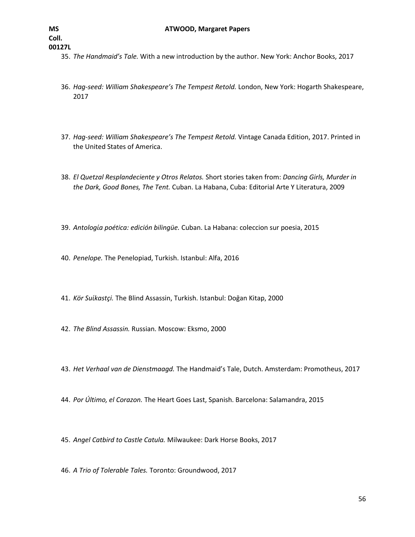- 35. *The Handmaid's Tale.* With a new introduction by the author. New York: Anchor Books, 2017
- 36. *Hag-seed: William Shakespeare's The Tempest Retold.* London, New York: Hogarth Shakespeare, 2017
- 37. *Hag-seed: William Shakespeare's The Tempest Retold.* Vintage Canada Edition, 2017. Printed in the United States of America.
- 38. *El Quetzal Resplandeciente y Otros Relatos.* Short stories taken from: *Dancing Girls, Murder in the Dark, Good Bones, The Tent.* Cuban. La Habana, Cuba: Editorial Arte Y Literatura, 2009
- 39. *Antologίa poética: edición bilingüe.* Cuban. La Habana: coleccion sur poesia, 2015
- 40. *Penelope.* The Penelopiad, Turkish. Istanbul: Alfa, 2016
- 41. *Kör Suίkastçi.* The Blind Assassin, Turkish. Istanbul: Doḡan Kitap, 2000
- 42. *The Blind Assassin.* Russian. Moscow: Eksmo, 2000
- 43. *Het Verhaal van de Dienstmaagd.* The Handmaid's Tale, Dutch. Amsterdam: Promotheus, 2017
- 44. *Por Último, el Corazon.* The Heart Goes Last, Spanish. Barcelona: Salamandra, 2015
- 45. *Angel Catbird to Castle Catula.* Milwaukee: Dark Horse Books, 2017
- 46. *A Trio of Tolerable Tales.* Toronto: Groundwood, 2017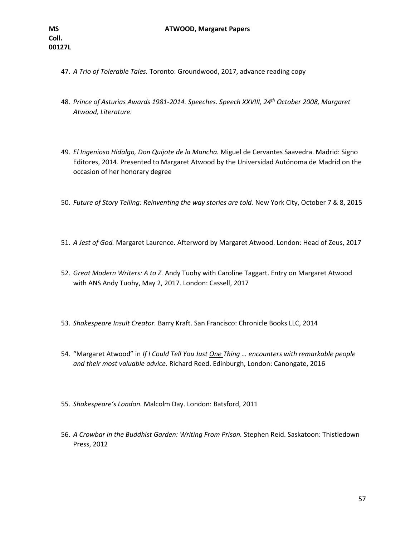- 47. *A Trio of Tolerable Tales.* Toronto: Groundwood, 2017, advance reading copy
- 48. *Prince of Asturias Awards 1981-2014. Speeches. Speech XXVIII, 24th October 2008, Margaret Atwood, Literature.*
- 49. *El Ingenioso Hidalgo, Don Quijote de la Mancha.* Miguel de Cervantes Saavedra. Madrid: Signo Editores, 2014. Presented to Margaret Atwood by the Universidad Autónoma de Madrid on the occasion of her honorary degree
- 50. *Future of Story Telling: Reinventing the way stories are told.* New York City, October 7 & 8, 2015
- 51. *A Jest of God.* Margaret Laurence. Afterword by Margaret Atwood. London: Head of Zeus, 2017
- 52. *Great Modern Writers: A to Z.* Andy Tuohy with Caroline Taggart. Entry on Margaret Atwood with ANS Andy Tuohy, May 2, 2017. London: Cassell, 2017
- 53. *Shakespeare Insult Creator.* Barry Kraft. San Francisco: Chronicle Books LLC, 2014
- 54. "Margaret Atwood" in *If I Could Tell You Just One Thing … encounters with remarkable people and their most valuable advice.* Richard Reed. Edinburgh, London: Canongate, 2016
- 55. *Shakespeare's London.* Malcolm Day. London: Batsford, 2011
- 56. *A Crowbar in the Buddhist Garden: Writing From Prison.* Stephen Reid. Saskatoon: Thistledown Press, 2012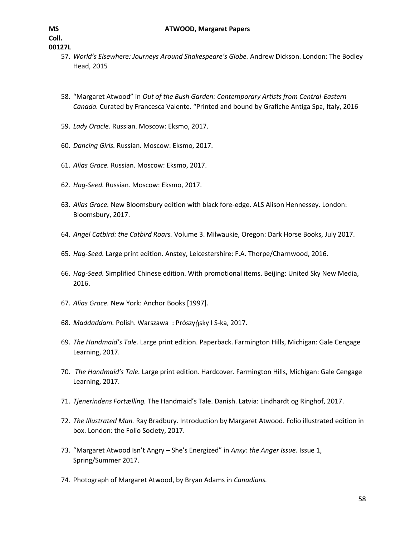- 57. *World's Elsewhere: Journeys Around Shakespeare's Globe.* Andrew Dickson. London: The Bodley Head, 2015
- 58. "Margaret Atwood" in *Out of the Bush Garden: Contemporary Artists from Central-Eastern Canada.* Curated by Francesca Valente. "Printed and bound by Grafiche Antiga Spa, Italy, 2016
- 59. *Lady Oracle.* Russian. Moscow: Eksmo, 2017.
- 60. *Dancing Girls.* Russian. Moscow: Eksmo, 2017.
- 61. *Alias Grace.* Russian. Moscow: Eksmo, 2017.
- 62. *Hag-Seed.* Russian. Moscow: Eksmo, 2017.
- 63. *Alias Grace.* New Bloomsbury edition with black fore-edge. ALS Alison Hennessey. London: Bloomsbury, 2017.
- 64. *Angel Catbird: the Catbird Roars.* Volume 3. Milwaukie, Oregon: Dark Horse Books, July 2017.
- 65. *Hag-Seed.* Large print edition. Anstey, Leicestershire: F.A. Thorpe/Charnwood, 2016.
- 66. *Hag-Seed.* Simplified Chinese edition. With promotional items. Beijing: United Sky New Media, 2016.
- 67. *Alias Grace.* New York: Anchor Books [1997].
- 68. *Maddaddam.* Polish. Warszawa: Prószyńsky I S-ka, 2017.
- 69. *The Handmaid's Tale.* Large print edition. Paperback. Farmington Hills, Michigan: Gale Cengage Learning, 2017.
- 70. *The Handmaid's Tale.* Large print edition. Hardcover. Farmington Hills, Michigan: Gale Cengage Learning, 2017.
- 71. *Tjenerindens Fortᴂlling.* The Handmaid's Tale. Danish. Latvia: Lindhardt og Ringhof, 2017.
- 72. *The Illustrated Man.* Ray Bradbury. Introduction by Margaret Atwood. Folio illustrated edition in box. London: the Folio Society, 2017.
- 73. "Margaret Atwood Isn't Angry She's Energized" in *Anxy: the Anger Issue.* Issue 1, Spring/Summer 2017.
- 74. Photograph of Margaret Atwood, by Bryan Adams in *Canadians.*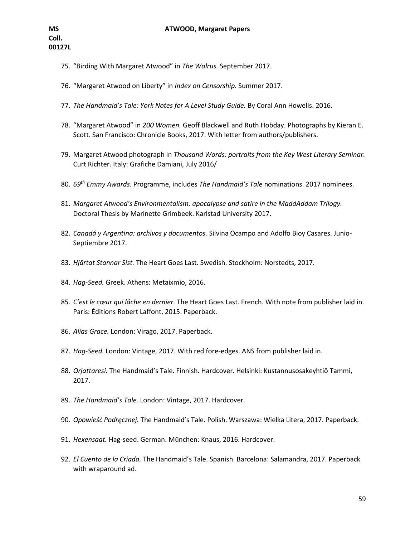- 75. "Birding With Margaret Atwood" in *The Walrus.* September 2017.
- 76. "Margaret Atwood on Liberty" in *Index on Censorship.* Summer 2017.
- 77. *The Handmaid's Tale: York Notes for A Level Study Guide.* By Coral Ann Howells. 2016.
- 78. "Margaret Atwood" in *200 Women.* Geoff Blackwell and Ruth Hobday. Photographs by Kieran E. Scott. San Francisco: Chronicle Books, 2017. With letter from authors/publishers.
- 79. Margaret Atwood photograph in *Thousand Words: portraits from the Key West Literary Seminar.*  Curt Richter. Italy: Grafiche Damiani, July 2016/
- 80. *69th Emmy Awards.* Programme, includes *The Handmaid's Tale* nominations. 2017 nominees.
- 81. *Margaret Atwood's Environmentalism: apocalypse and satire in the MaddAddam Trilogy.*  Doctoral Thesis by Marinette Grimbeek. Karlstad University 2017.
- 82. *Canadá y Argentina: archivos y documentos.* Silvina Ocampo and Adolfo Bioy Casares. Junio-Septiembre 2017.
- 83. *Hjärtat Stannar Sist.* The Heart Goes Last. Swedish. Stockholm: Norstedts, 2017.
- 84. *Hag-Seed.* Greek. Athens: Metaixmio, 2016.
- 85. *C'est le cœur qui lâche en dernier.* The Heart Goes Last. French. With note from publisher laid in. Paris: Éditions Robert Laffont, 2015. Paperback.
- 86. *Alias Grace.* London: Virago, 2017. Paperback.
- 87. *Hag-Seed.* London: Vintage, 2017. With red fore-edges. ANS from publisher laid in.
- 88. *Orjattaresi.* The Handmaid's Tale. Finnish. Hardcover. Helsinki: Kustannusosakeyhtiö Tammi, 2017.
- 89. *The Handmaid's Tale.* London: Vintage, 2017. Hardcover.
- 90. *Opowieść Podręcznej.* The Handmaid's Tale. Polish. Warszawa: Wielka Litera, 2017. Paperback.
- 91. *Hexensaat.* Hag-seed. German. Műnchen: Knaus, 2016. Hardcover.
- 92. *El Cuento de la Criada.* The Handmaid's Tale. Spanish. Barcelona: Salamandra, 2017. Paperback with wraparound ad.